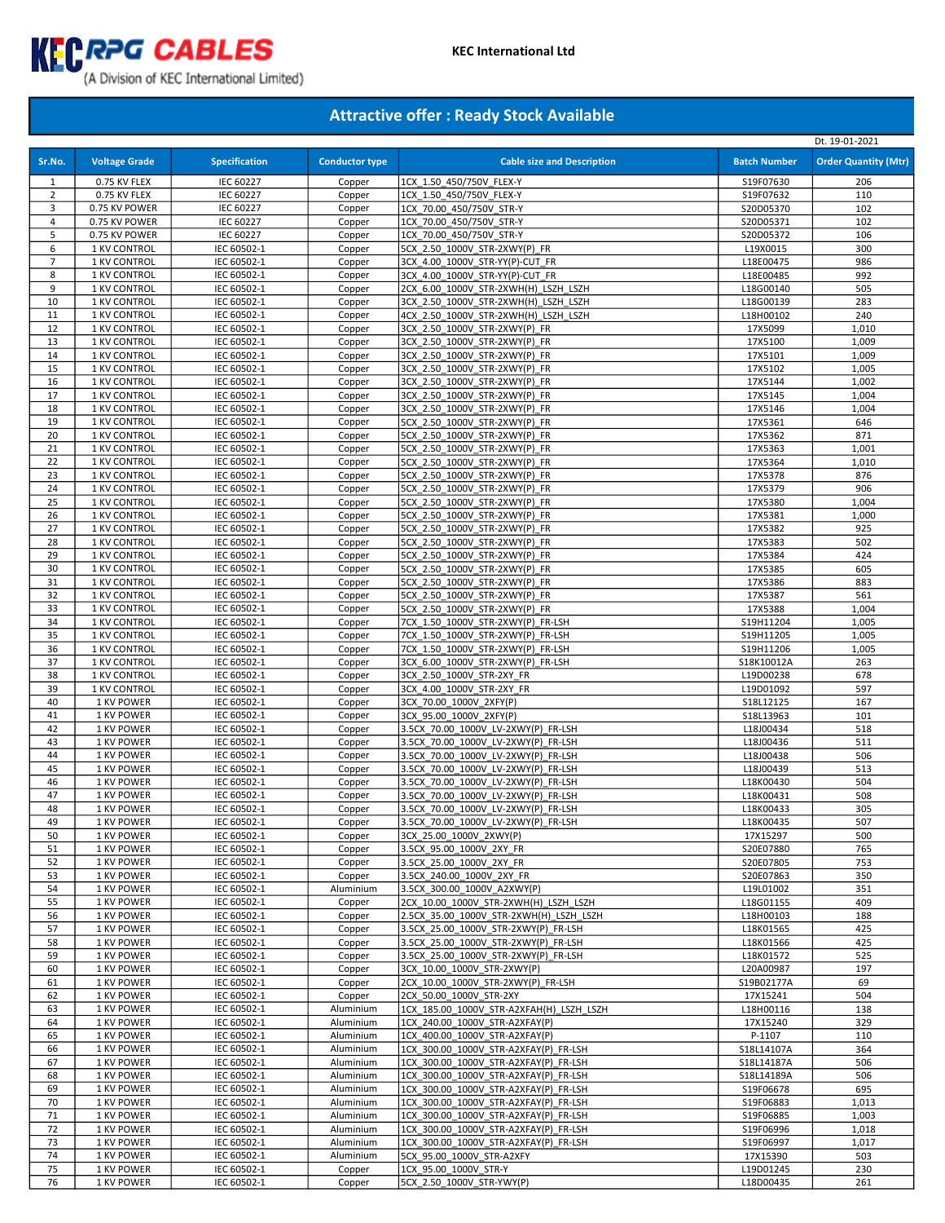

|                |                              |                            |                       |                                                                |                        | Dt. 19-01-2021              |
|----------------|------------------------------|----------------------------|-----------------------|----------------------------------------------------------------|------------------------|-----------------------------|
| Sr.No.         | <b>Voltage Grade</b>         | <b>Specification</b>       | <b>Conductor type</b> | <b>Cable size and Description</b>                              | <b>Batch Number</b>    | <b>Order Quantity (Mtr)</b> |
|                |                              |                            |                       |                                                                |                        |                             |
| 1              | 0.75 KV FLEX                 | <b>IEC 60227</b>           | Copper                | 1CX 1.50 450/750V FLEX-Y                                       | S19F07630              | 206                         |
| $\overline{2}$ | 0.75 KV FLEX                 | <b>IEC 60227</b>           | Copper                | 1CX 1.50 450/750V FLEX-Y                                       | S19F07632              | 110                         |
| 3              | 0.75 KV POWER                | <b>IEC 60227</b>           | Copper                | 1CX 70.00 450/750V STR-Y                                       | S20D05370              | 102                         |
| 4              | 0.75 KV POWER                | IEC 60227                  | Copper                | 1CX 70.00 450/750V STR-Y                                       | S20D05371              | 102                         |
| 5              | 0.75 KV POWER                | <b>IEC 60227</b>           | Copper                | 1CX_70.00_450/750V_STR-Y                                       | S20D05372              | 106                         |
| 6              | 1 KV CONTROL                 | IEC 60502-1                | Copper                | 5CX 2.50_1000V_STR-2XWY(P)_FR                                  | L19X0015               | 300                         |
| $\overline{7}$ | 1 KV CONTROL                 | IEC 60502-1                | Copper                | 3CX 4.00 1000V STR-YY(P)-CUT FR                                | L18E00475              | 986                         |
| 8              | 1 KV CONTROL                 | IEC 60502-1                | Copper                | 3CX 4.00 1000V STR-YY(P)-CUT FR                                | L18E00485              | 992                         |
| 9              | 1 KV CONTROL                 | IEC 60502-1                | Copper                | 2CX 6.00 1000V STR-2XWH(H) LSZH LSZH                           | L18G00140              | 505                         |
| 10             | 1 KV CONTROL                 | IEC 60502-1                | Copper                | 3CX 2.50 1000V STR-2XWH(H) LSZH LSZH                           | L18G00139              | 283                         |
| 11             | 1 KV CONTROL                 | IEC 60502-1                | Copper                | 4CX 2.50 1000V STR-2XWH(H) LSZH LSZH                           | L18H00102              | 240                         |
| 12             | 1 KV CONTROL                 | IEC 60502-1                | Copper                | 3CX 2.50 1000V STR-2XWY(P) FR                                  | 17X5099                | 1,010                       |
| 13             | 1 KV CONTROL                 | IEC 60502-1                | Copper                | 3CX 2.50 1000V STR-2XWY(P) FR                                  | 17X5100                | 1,009                       |
| 14             | 1 KV CONTROL                 | IEC 60502-1                | Copper                | 3CX 2.50 1000V STR-2XWY(P) FR                                  | 17X5101                | 1,009                       |
| 15             | 1 KV CONTROL                 | IEC 60502-1                | Copper                | 3CX 2.50 1000V STR-2XWY(P) FR                                  | 17X5102                | 1,005                       |
| 16             | 1 KV CONTROL                 | IEC 60502-1                | Copper                | 3CX 2.50_1000V_STR-2XWY(P)_FR                                  | 17X5144                | 1,002                       |
| 17             | 1 KV CONTROL                 | IEC 60502-1                | Copper                | 3CX 2.50 1000V STR-2XWY(P) FR                                  | 17X5145                | 1,004                       |
| 18             | 1 KV CONTROL                 | IEC 60502-1                | Copper                | 3CX_2.50_1000V_STR-2XWY(P)_FR                                  | 17X5146                | 1,004                       |
| 19             | 1 KV CONTROL                 | IEC 60502-1                | Copper                | 5CX 2.50 1000V STR-2XWY(P) FR                                  | 17X5361                | 646                         |
| 20             | 1 KV CONTROL                 | IEC 60502-1                | Copper                | 5CX 2.50 1000V STR-2XWY(P) FR                                  | 17X5362                | 871                         |
| 21             | 1 KV CONTROL                 | IEC 60502-1                | Copper                | 5CX 2.50 1000V STR-2XWY(P) FR                                  | 17X5363                | 1,001                       |
| 22             | 1 KV CONTROL                 | IEC 60502-1                | Copper                | 5CX_2.50_1000V_STR-2XWY(P)_FR                                  | 17X5364                | 1,010                       |
| 23             | 1 KV CONTROL                 | IEC 60502-1                | Copper                | 5CX_2.50_1000V_STR-2XWY(P)_FR                                  | 17X5378                | 876                         |
| 24             | 1 KV CONTROL                 | IEC 60502-1                | Copper                | 5CX 2.50 1000V STR-2XWY(P) FR                                  | 17X5379                | 906                         |
| 25             | 1 KV CONTROL                 | IEC 60502-1                | Copper                | 5CX_2.50_1000V_STR-2XWY(P)_FR                                  | 17X5380                | 1,004                       |
| 26             | 1 KV CONTROL                 | IEC 60502-1                | Copper                | 5CX 2.50 1000V STR-2XWY(P) FR                                  | 17X5381                | 1,000                       |
| 27             | 1 KV CONTROL                 | IEC 60502-1                | Copper                | 5CX 2.50 1000V STR-2XWY(P) FR                                  | 17X5382                | 925                         |
| 28             | 1 KV CONTROL                 | IEC 60502-1                | Copper                | 5CX 2.50 1000V STR-2XWY(P) FR                                  | 17X5383                | 502                         |
| 29             | 1 KV CONTROL<br>1 KV CONTROL | IEC 60502-1                | Copper                | 5CX 2.50 1000V STR-2XWY(P) FR                                  | 17X5384                | 424                         |
| 30             |                              | IEC 60502-1                | Copper                | 5CX_2.50_1000V_STR-2XWY(P)_FR                                  | 17X5385                | 605                         |
| 31             | 1 KV CONTROL                 | IEC 60502-1                | Copper                | 5CX 2.50 1000V STR-2XWY(P) FR                                  | 17X5386                | 883                         |
| 32             | 1 KV CONTROL                 | IEC 60502-1                | Copper                | 5CX 2.50 1000V STR-2XWY(P) FR                                  | 17X5387                | 561                         |
| 33<br>34       | 1 KV CONTROL                 | IEC 60502-1                | Copper                | 5CX 2.50 1000V STR-2XWY(P) FR                                  | 17X5388                | 1,004                       |
| 35             | 1 KV CONTROL                 | IEC 60502-1                | Copper                | 7CX 1.50 1000V STR-2XWY(P) FR-LSH                              | S19H11204              | 1,005                       |
| 36             | 1 KV CONTROL<br>1 KV CONTROL | IEC 60502-1<br>IEC 60502-1 | Copper                | 7CX 1.50 1000V STR-2XWY(P) FR-LSH                              | S19H11205              | 1,005                       |
| 37             | 1 KV CONTROL                 | IEC 60502-1                | Copper                | 7CX 1.50 1000V STR-2XWY(P) FR-LSH                              | S19H11206              | 1,005                       |
| 38             | 1 KV CONTROL                 | IEC 60502-1                | Copper<br>Copper      | 3CX 6.00 1000V STR-2XWY(P) FR-LSH<br>3CX 2.50 1000V STR-2XY FR | S18K10012A             | 263<br>678                  |
| 39             | 1 KV CONTROL                 | IEC 60502-1                |                       | 3CX 4.00 1000V STR-2XY FR                                      | L19D00238<br>L19D01092 | 597                         |
| 40             | 1 KV POWER                   | IEC 60502-1                | Copper                | 3CX 70.00 1000V 2XFY(P)                                        | S18L12125              | 167                         |
| 41             | 1 KV POWER                   | IEC 60502-1                | Copper<br>Copper      | 3CX 95.00 1000V 2XFY(P)                                        | S18L13963              | 101                         |
| 42             | 1 KV POWER                   | IEC 60502-1                | Copper                | 3.5CX 70.00 1000V LV-2XWY(P) FR-LSH                            | L18J00434              | 518                         |
| 43             | 1 KV POWER                   | IEC 60502-1                | Copper                | 3.5CX 70.00 1000V LV-2XWY(P) FR-LSH                            | L18J00436              | 511                         |
| 44             | 1 KV POWER                   | IEC 60502-1                | Copper                | 3.5CX 70.00 1000V LV-2XWY(P) FR-LSH                            | L18J00438              | 506                         |
| 45             | 1 KV POWER                   | IEC 60502-1                | Copper                | 3.5CX 70.00 1000V LV-2XWY(P) FR-LSH                            | L18J00439              | 513                         |
| 46             | 1 KV POWER                   | IEC 60502-1                | Copper                | 3.5CX 70.00 1000V LV-2XWY(P) FR-LSH                            | L18K00430              | 504                         |
| 47             | 1 KV POWER                   | IEC 60502-1                | Copper                | 3.5CX 70.00 1000V LV-2XWY(P) FR-LSH                            | L18K00431              | 508                         |
| 48             | 1 KV POWER                   | IEC 60502-1                | Copper                | 3.5CX 70.00 1000V LV-2XWY(P) FR-LSH                            | L18K00433              | 305                         |
| 49             | 1 KV POWER                   | IEC 60502-1                | Copper                | 3.5CX 70.00 1000V LV-2XWY(P) FR-LSH                            | L18K00435              | 507                         |
| 50             | 1 KV POWER                   | IEC 60502-1                | Copper                | 3CX 25.00 1000V 2XWY(P)                                        | 17X15297               | 500                         |
| 51             | 1 KV POWER                   | IEC 60502-1                | Copper                | 3.5CX 95.00 1000V 2XY FR                                       | S20E07880              | 765                         |
| 52             | 1 KV POWER                   | IEC 60502-1                | Copper                | 3.5CX 25.00 1000V 2XY FR                                       | S20E07805              | 753                         |
| 53             | 1 KV POWER                   | IEC 60502-1                | Copper                | 3.5CX 240.00 1000V 2XY FR                                      | S20E07863              | 350                         |
| 54             | 1 KV POWER                   | IEC 60502-1                | Aluminium             | 3.5CX 300.00 1000V A2XWY(P)                                    | L19L01002              | 351                         |
| 55             | 1 KV POWER                   | IEC 60502-1                | Copper                | 2CX_10.00_1000V_STR-2XWH(H)_LSZH_LSZH                          | L18G01155              | 409                         |
| 56             | 1 KV POWER                   | IEC 60502-1                | Copper                | 2.5CX 35.00 1000V STR-2XWH(H) LSZH LSZH                        | L18H00103              | 188                         |
| 57             | 1 KV POWER                   | IEC 60502-1                | Copper                | 3.5CX 25.00 1000V STR-2XWY(P) FR-LSH                           | L18K01565              | 425                         |
| 58             | 1 KV POWER                   | IEC 60502-1                | Copper                | 3.5CX 25.00 1000V STR-2XWY(P) FR-LSH                           | L18K01566              | 425                         |
| 59             | 1 KV POWER                   | IEC 60502-1                | Copper                | 3.5CX 25.00 1000V STR-2XWY(P) FR-LSH                           | L18K01572              | 525                         |
| 60             | 1 KV POWER                   | IEC 60502-1                | Copper                | 3CX_10.00_1000V_STR-2XWY(P)                                    | L20A00987              | 197                         |
| 61             | 1 KV POWER                   | IEC 60502-1                | Copper                | 2CX 10.00 1000V STR-2XWY(P) FR-LSH                             | S19B02177A             | 69                          |
| 62             | 1 KV POWER                   | IEC 60502-1                | Copper                | 2CX 50.00 1000V STR-2XY                                        | 17X15241               | 504                         |
| 63             | 1 KV POWER                   | IEC 60502-1                | Aluminium             | 1CX 185.00 1000V STR-A2XFAH(H) LSZH LSZH                       | L18H00116              | 138                         |
| 64             | 1 KV POWER                   | IEC 60502-1                | Aluminium             | 1CX 240.00 1000V STR-A2XFAY(P)                                 | 17X15240               | 329                         |
| 65             | 1 KV POWER                   | IEC 60502-1                | Aluminium             | 1CX 400.00 1000V STR-A2XFAY(P)                                 | P-1107                 | 110                         |
| 66             | 1 KV POWER                   | IEC 60502-1                | Aluminium             | 1CX 300.00 1000V STR-A2XFAY(P) FR-LSH                          | S18L14107A             | 364                         |
| 67             | 1 KV POWER                   | IEC 60502-1                | Aluminium             | 1CX 300.00_1000V_STR-A2XFAY(P)_FR-LSH                          | S18L14187A             | 506                         |
| 68             | 1 KV POWER                   | IEC 60502-1                | Aluminium             | 1CX 300.00 1000V STR-A2XFAY(P) FR-LSH                          | S18L14189A             | 506                         |
| 69             | 1 KV POWER                   | IEC 60502-1                | Aluminium             | 1CX 300.00 1000V STR-A2XFAY(P) FR-LSH                          | S19F06678              | 695                         |
| 70             | 1 KV POWER                   | IEC 60502-1                | Aluminium             | 1CX 300.00 1000V STR-A2XFAY(P) FR-LSH                          | S19F06883              | 1,013                       |
| 71             | 1 KV POWER                   | IEC 60502-1                | Aluminium             | 1CX 300.00 1000V STR-A2XFAY(P) FR-LSH                          | S19F06885              | 1,003                       |
| 72             | 1 KV POWER                   | IEC 60502-1                | Aluminium             | 1CX 300.00 1000V STR-A2XFAY(P) FR-LSH                          | S19F06996              | 1,018                       |
| 73             | 1 KV POWER                   | IEC 60502-1                | Aluminium             | 1CX 300.00 1000V STR-A2XFAY(P) FR-LSH                          | S19F06997              | 1,017                       |
| 74             | 1 KV POWER                   | IEC 60502-1                | Aluminium             | 5CX 95.00 1000V STR-A2XFY                                      | 17X15390               | 503                         |
| 75             | 1 KV POWER                   | IEC 60502-1                | Copper                | 1CX 95.00 1000V STR-Y                                          | L19D01245              | 230                         |
| 76             | 1 KV POWER                   | IEC 60502-1                | Copper                | 5CX 2.50 1000V STR-YWY(P)                                      | L18D00435              | 261                         |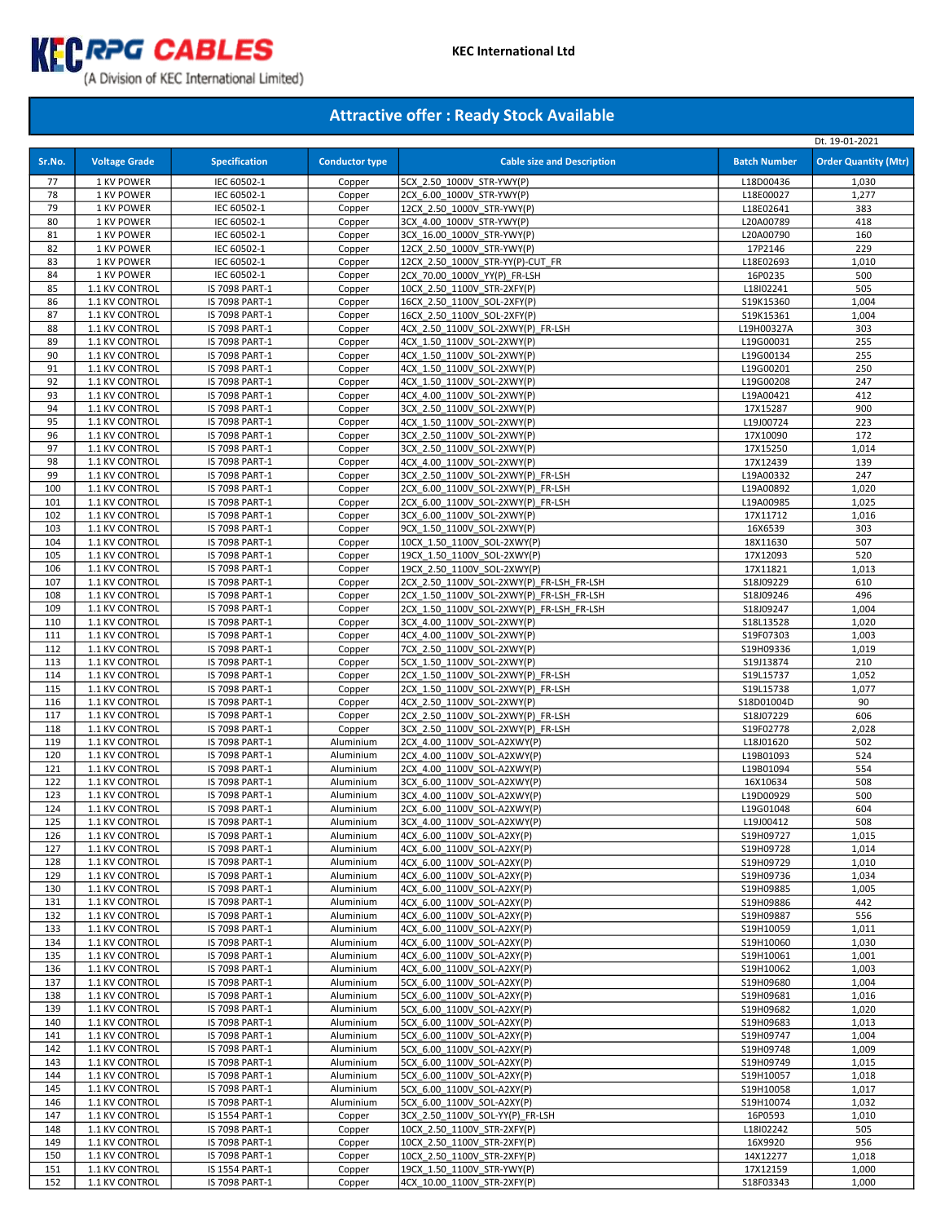

|            |                                  |                                  |                        |                                                                        |                         | Dt. 19-01-2021              |
|------------|----------------------------------|----------------------------------|------------------------|------------------------------------------------------------------------|-------------------------|-----------------------------|
| Sr.No.     | <b>Voltage Grade</b>             | <b>Specification</b>             | <b>Conductor type</b>  | <b>Cable size and Description</b>                                      | <b>Batch Number</b>     | <b>Order Quantity (Mtr)</b> |
| 77         | 1 KV POWER                       | IEC 60502-1                      | Copper                 | 5CX 2.50 1000V STR-YWY(P)                                              | L18D00436               | 1,030                       |
| 78         | 1 KV POWER                       | IEC 60502-1                      | Copper                 | 2CX 6.00 1000V STR-YWY(P)                                              | L18E00027               | 1,277                       |
| 79         | 1 KV POWER                       | IEC 60502-1                      | Copper                 | 12CX 2.50 1000V STR-YWY(P)                                             | L18E02641               | 383                         |
| 80<br>81   | 1 KV POWER<br>1 KV POWER         | IEC 60502-1<br>IEC 60502-1       | Copper<br>Copper       | 3CX 4.00 1000V STR-YWY(P)<br>3CX 16.00 1000V STR-YWY(P)                | L20A00789<br>L20A00790  | 418<br>160                  |
| 82         | 1 KV POWER                       | IEC 60502-1                      | Copper                 | 12CX 2.50 1000V STR-YWY(P)                                             | 17P2146                 | 229                         |
| 83         | 1 KV POWER                       | IEC 60502-1                      | Copper                 | 12CX 2.50 1000V STR-YY(P)-CUT FR                                       | L18E02693               | 1,010                       |
| 84         | 1 KV POWER                       | IEC 60502-1                      | Copper                 | 2CX 70.00 1000V YY(P) FR-LSH                                           | 16P0235                 | 500                         |
| 85         | 1.1 KV CONTROL                   | IS 7098 PART-1                   | Copper                 | 10CX 2.50 1100V STR-2XFY(P)                                            | L18I02241               | 505                         |
| 86         | 1.1 KV CONTROL                   | IS 7098 PART-1                   | Copper                 | 16CX 2.50 1100V SOL-2XFY(P)                                            | S19K15360               | 1,004                       |
| 87<br>88   | 1.1 KV CONTROL<br>1.1 KV CONTROL | IS 7098 PART-1<br>IS 7098 PART-1 | Copper<br>Copper       | 16CX 2.50 1100V SOL-2XFY(P)<br>4CX 2.50 1100V SOL-2XWY(P) FR-LSH       | S19K15361<br>L19H00327A | 1,004<br>303                |
| 89         | 1.1 KV CONTROL                   | IS 7098 PART-1                   | Copper                 | 4CX 1.50 1100V SOL-2XWY(P)                                             | L19G00031               | 255                         |
| 90         | 1.1 KV CONTROL                   | IS 7098 PART-1                   | Copper                 | 4CX 1.50 1100V SOL-2XWY(P)                                             | L19G00134               | 255                         |
| 91         | 1.1 KV CONTROL                   | IS 7098 PART-1                   | Copper                 | 4CX 1.50 1100V SOL-2XWY(P)                                             | L19G00201               | 250                         |
| 92         | 1.1 KV CONTROL                   | IS 7098 PART-1                   | Copper                 | 4CX 1.50 1100V SOL-2XWY(P)                                             | L19G00208               | 247                         |
| 93         | 1.1 KV CONTROL                   | IS 7098 PART-1                   | Copper                 | 4CX 4.00 1100V SOL-2XWY(P)                                             | L19A00421               | 412                         |
| 94<br>95   | 1.1 KV CONTROL<br>1.1 KV CONTROL | IS 7098 PART-1<br>IS 7098 PART-1 | Copper                 | 3CX 2.50 1100V SOL-2XWY(P)<br>4CX 1.50 1100V SOL-2XWY(P)               | 17X15287<br>L19J00724   | 900<br>223                  |
| 96         | 1.1 KV CONTROL                   | IS 7098 PART-1                   | Copper<br>Copper       | 3CX 2.50 1100V SOL-2XWY(P)                                             | 17X10090                | 172                         |
| 97         | 1.1 KV CONTROL                   | IS 7098 PART-1                   | Copper                 | 3CX 2.50 1100V SOL-2XWY(P)                                             | 17X15250                | 1,014                       |
| 98         | 1.1 KV CONTROL                   | IS 7098 PART-1                   | Copper                 | 4CX 4.00 1100V SOL-2XWY(P)                                             | 17X12439                | 139                         |
| 99         | 1.1 KV CONTROL                   | IS 7098 PART-1                   | Copper                 | 3CX 2.50 1100V SOL-2XWY(P) FR-LSH                                      | L19A00332               | 247                         |
| 100        | 1.1 KV CONTROL                   | IS 7098 PART-1                   | Copper                 | 2CX 6.00 1100V SOL-2XWY(P) FR-LSH                                      | L19A00892               | 1,020                       |
| 101        | 1.1 KV CONTROL                   | IS 7098 PART-1                   | Copper                 | 2CX 6.00 1100V SOL-2XWY(P) FR-LSH                                      | L19A00985               | 1,025                       |
| 102        | 1.1 KV CONTROL                   | IS 7098 PART-1                   | Copper                 | 3CX 6.00 1100V SOL-2XWY(P)                                             | 17X11712                | 1,016                       |
| 103        | 1.1 KV CONTROL                   | IS 7098 PART-1                   | Copper                 | 9CX 1.50 1100V SOL-2XWY(P)                                             | 16X6539                 | 303                         |
| 104        | 1.1 KV CONTROL                   | IS 7098 PART-1                   | Copper                 | 10CX 1.50 1100V SOL-2XWY(P)                                            | 18X11630                | 507                         |
| 105<br>106 | 1.1 KV CONTROL<br>1.1 KV CONTROL | IS 7098 PART-1<br>IS 7098 PART-1 | Copper<br>Copper       | 19CX 1.50 1100V SOL-2XWY(P)<br>19CX 2.50 1100V SOL-2XWY(P)             | 17X12093<br>17X11821    | 520<br>1,013                |
| 107        | 1.1 KV CONTROL                   | IS 7098 PART-1                   | Copper                 | 2CX 2.50 1100V SOL-2XWY(P) FR-LSH FR-LSH                               | S18J09229               | 610                         |
| 108        | 1.1 KV CONTROL                   | IS 7098 PART-1                   | Copper                 | 2CX 1.50 1100V SOL-2XWY(P) FR-LSH FR-LSH                               | S18J09246               | 496                         |
| 109        | 1.1 KV CONTROL                   | IS 7098 PART-1                   | Copper                 | 2CX 1.50 1100V SOL-2XWY(P) FR-LSH FR-LSH                               | S18J09247               | 1,004                       |
| 110        | 1.1 KV CONTROL                   | IS 7098 PART-1                   | Copper                 | 3CX 4.00 1100V SOL-2XWY(P)                                             | S18L13528               | 1,020                       |
| 111        | 1.1 KV CONTROL                   | IS 7098 PART-1                   | Copper                 | 4CX 4.00 1100V SOL-2XWY(P)                                             | S19F07303               | 1,003                       |
| 112        | 1.1 KV CONTROL                   | IS 7098 PART-1                   | Copper                 | 7CX 2.50 1100V SOL-2XWY(P)                                             | S19H09336               | 1,019                       |
| 113        | 1.1 KV CONTROL                   | IS 7098 PART-1                   | Copper                 | 5CX 1.50 1100V SOL-2XWY(P)                                             | S19J13874               | 210                         |
| 114<br>115 | 1.1 KV CONTROL<br>1.1 KV CONTROL | IS 7098 PART-1<br>IS 7098 PART-1 | Copper<br>Copper       | 2CX 1.50 1100V SOL-2XWY(P) FR-LSH<br>2CX 1.50 1100V SOL-2XWY(P) FR-LSH | S19L15737<br>S19L15738  | 1,052<br>1,077              |
| 116        | 1.1 KV CONTROL                   | IS 7098 PART-1                   | Copper                 | 4CX 2.50 1100V SOL-2XWY(P)                                             | S18D01004D              | 90                          |
| 117        | 1.1 KV CONTROL                   | IS 7098 PART-1                   | Copper                 | 2CX 2.50 1100V SOL-2XWY(P) FR-LSH                                      | S18J07229               | 606                         |
| 118        | 1.1 KV CONTROL                   | IS 7098 PART-1                   | Copper                 | 3CX 2.50 1100V SOL-2XWY(P) FR-LSH                                      | S19F02778               | 2,028                       |
| 119        | 1.1 KV CONTROL                   | IS 7098 PART-1                   | Aluminium              | 2CX 4.00 1100V SOL-A2XWY(P)                                            | L18J01620               | 502                         |
| 120        | 1.1 KV CONTROL                   | IS 7098 PART-1                   | Aluminium              | 2CX 4.00 1100V SOL-A2XWY(P)                                            | L19B01093               | 524                         |
| 121        | 1.1 KV CONTROL                   | IS 7098 PART-1                   | Aluminium              | 2CX 4.00 1100V SOL-A2XWY(P)                                            | L19B01094               | 554                         |
| 122        | 1.1 KV CONTROL                   | IS 7098 PART-1                   | Aluminium              | 3CX 6.00 1100V SOL-A2XWY(P)                                            | 16X10634                | 508                         |
| 123<br>124 | 1.1 KV CONTROL<br>1.1 KV CONTROL | IS 7098 PART-1<br>IS 7098 PART-1 | Aluminium<br>Aluminium | 3CX 4.00 1100V SOL-A2XWY(P)<br>2CX 6.00 1100V SOL-A2XWY(P)             | L19D00929<br>L19G01048  | 500<br>604                  |
| 125        | 1.1 KV CONTROL                   | IS 7098 PART-1                   | Aluminium              | 3CX 4.00 1100V SOL-A2XWY(P)                                            | L19J00412               | 508                         |
| 126        | 1.1 KV CONTROL                   | IS 7098 PART-1                   | Aluminium              | 4CX 6.00 1100V SOL-A2XY(P)                                             | S19H09727               | 1,015                       |
| 127        | 1.1 KV CONTROL                   | IS 7098 PART-1                   | Aluminium              | 4CX 6.00 1100V SOL-A2XY(P)                                             | S19H09728               | 1,014                       |
| 128        | 1.1 KV CONTROL                   | IS 7098 PART-1                   | Aluminium              | 4CX 6.00 1100V SOL-A2XY(P)                                             | S19H09729               | 1,010                       |
| 129        | 1.1 KV CONTROL                   | IS 7098 PART-1                   | Aluminium              | 4CX 6.00 1100V SOL-A2XY(P)                                             | S19H09736               | 1,034                       |
| 130        | 1.1 KV CONTROL                   | IS 7098 PART-1                   | Aluminium              | 4CX 6.00 1100V SOL-A2XY(P)                                             | S19H09885               | 1,005                       |
| 131        | 1.1 KV CONTROL                   | IS 7098 PART-1                   | Aluminium              | 4CX 6.00 1100V SOL-A2XY(P)                                             | S19H09886               | 442                         |
| 132<br>133 | 1.1 KV CONTROL<br>1.1 KV CONTROL | IS 7098 PART-1<br>IS 7098 PART-1 | Aluminium<br>Aluminium | 4CX 6.00 1100V SOL-A2XY(P)<br>4CX 6.00 1100V SOL-A2XY(P)               | S19H09887<br>S19H10059  | 556<br>1,011                |
| 134        | 1.1 KV CONTROL                   | IS 7098 PART-1                   | Aluminium              | 4CX 6.00 1100V SOL-A2XY(P)                                             | S19H10060               | 1,030                       |
| 135        | 1.1 KV CONTROL                   | IS 7098 PART-1                   | Aluminium              | 4CX 6.00 1100V SOL-A2XY(P)                                             | S19H10061               | 1,001                       |
| 136        | 1.1 KV CONTROL                   | IS 7098 PART-1                   | Aluminium              | 4CX 6.00 1100V SOL-A2XY(P)                                             | S19H10062               | 1,003                       |
| 137        | 1.1 KV CONTROL                   | IS 7098 PART-1                   | Aluminium              | 5CX 6.00 1100V SOL-A2XY(P)                                             | S19H09680               | 1,004                       |
| 138        | 1.1 KV CONTROL                   | IS 7098 PART-1                   | Aluminium              | 5CX 6.00 1100V SOL-A2XY(P)                                             | S19H09681               | 1,016                       |
| 139        | 1.1 KV CONTROL                   | IS 7098 PART-1                   | Aluminium              | 5CX 6.00_1100V_SOL-A2XY(P)                                             | S19H09682               | 1,020                       |
| 140        | 1.1 KV CONTROL                   | IS 7098 PART-1                   | Aluminium              | 5CX 6.00 1100V SOL-A2XY(P)                                             | S19H09683               | 1,013                       |
| 141<br>142 | 1.1 KV CONTROL<br>1.1 KV CONTROL | IS 7098 PART-1<br>IS 7098 PART-1 | Aluminium<br>Aluminium | 5CX 6.00 1100V SOL-A2XY(P)<br>5CX 6.00 1100V SOL-A2XY(P)               | S19H09747<br>S19H09748  | 1,004<br>1,009              |
| 143        | 1.1 KV CONTROL                   | IS 7098 PART-1                   | Aluminium              | 5CX 6.00 1100V SOL-A2XY(P)                                             | S19H09749               | 1,015                       |
| 144        | 1.1 KV CONTROL                   | IS 7098 PART-1                   | Aluminium              | 5CX 6.00 1100V SOL-A2XY(P)                                             | S19H10057               | 1,018                       |
| 145        | 1.1 KV CONTROL                   | IS 7098 PART-1                   | Aluminium              | 5CX 6.00 1100V SOL-A2XY(P)                                             | S19H10058               | 1,017                       |
| 146        | 1.1 KV CONTROL                   | IS 7098 PART-1                   | Aluminium              | 5CX 6.00 1100V SOL-A2XY(P)                                             | S19H10074               | 1,032                       |
| 147        | 1.1 KV CONTROL                   | IS 1554 PART-1                   | Copper                 | 3CX 2.50 1100V SOL-YY(P) FR-LSH                                        | 16P0593                 | 1,010                       |
| 148        | 1.1 KV CONTROL                   | IS 7098 PART-1                   | Copper                 | 10CX 2.50 1100V STR-2XFY(P)                                            | L18I02242               | 505                         |
| 149        | 1.1 KV CONTROL                   | IS 7098 PART-1                   | Copper                 | 10CX 2.50 1100V STR-2XFY(P)                                            | 16X9920                 | 956                         |
| 150<br>151 | 1.1 KV CONTROL<br>1.1 KV CONTROL | IS 7098 PART-1                   | Copper                 | 10CX 2.50 1100V STR-2XFY(P)<br>19CX 1.50 1100V STR-YWY(P)              | 14X12277<br>17X12159    | 1,018<br>1,000              |
| 152        | 1.1 KV CONTROL                   | IS 1554 PART-1<br>IS 7098 PART-1 | Copper<br>Copper       | 4CX 10.00 1100V STR-2XFY(P)                                            | S18F03343               | 1,000                       |
|            |                                  |                                  |                        |                                                                        |                         |                             |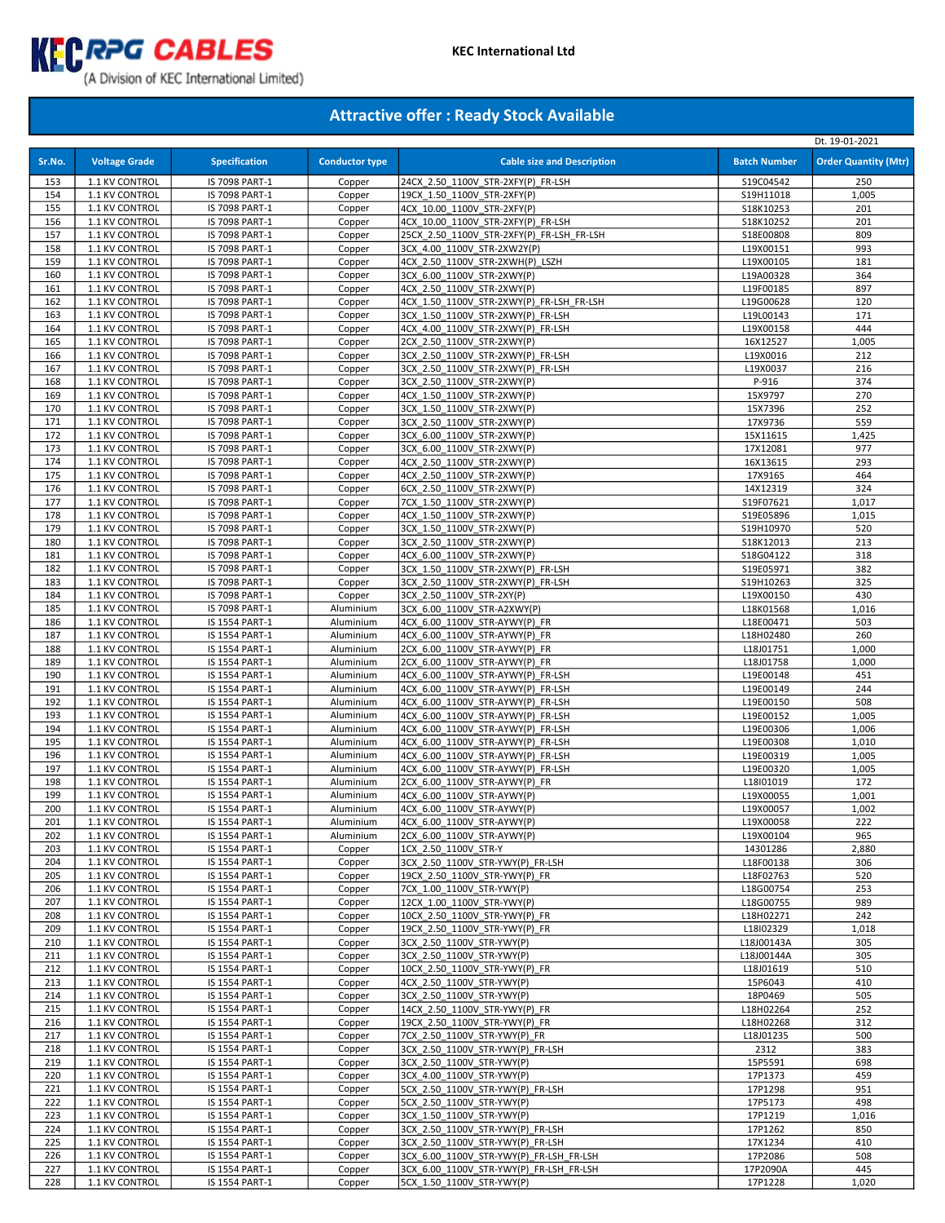

# (A Division of KEC International Limited)

|            |                                  |                                  |                        |                                                                        |                        | Dt. 19-01-2021              |
|------------|----------------------------------|----------------------------------|------------------------|------------------------------------------------------------------------|------------------------|-----------------------------|
| Sr.No.     | <b>Voltage Grade</b>             | <b>Specification</b>             | <b>Conductor type</b>  | <b>Cable size and Description</b>                                      | <b>Batch Number</b>    | <b>Order Quantity (Mtr)</b> |
|            |                                  |                                  |                        |                                                                        |                        |                             |
| 153<br>154 | 1.1 KV CONTROL<br>1.1 KV CONTROL | IS 7098 PART-1<br>IS 7098 PART-1 | Copper<br>Copper       | 24CX_2.50_1100V_STR-2XFY(P)_FR-LSH<br>19CX 1.50 1100V STR-2XFY(P)      | S19C04542<br>S19H11018 | 250<br>1,005                |
| 155        | 1.1 KV CONTROL                   | IS 7098 PART-1                   | Copper                 | 4CX 10.00 1100V STR-2XFY(P)                                            | S18K10253              | 201                         |
| 156        | 1.1 KV CONTROL                   | IS 7098 PART-1                   | Copper                 | 4CX 10.00 1100V STR-2XFY(P) FR-LSH                                     | S18K10252              | 201                         |
| 157        | 1.1 KV CONTROL                   | IS 7098 PART-1                   | Copper                 | 25CX_2.50_1100V_STR-2XFY(P)_FR-LSH_FR-LSH                              | S18E00808              | 809                         |
| 158        | 1.1 KV CONTROL                   | IS 7098 PART-1                   | Copper                 | 3CX 4.00 1100V STR-2XW2Y(P)                                            | L19X00151              | 993                         |
| 159        | 1.1 KV CONTROL                   | IS 7098 PART-1                   | Copper                 | 4CX 2.50 1100V STR-2XWH(P) LSZH                                        | L19X00105              | 181                         |
| 160        | 1.1 KV CONTROL                   | IS 7098 PART-1                   | Copper                 | 3CX 6.00 1100V STR-2XWY(P)                                             | L19A00328              | 364                         |
| 161        | 1.1 KV CONTROL                   | IS 7098 PART-1                   | Copper                 | 4CX 2.50 1100V STR-2XWY(P)                                             | L19F00185              | 897                         |
| 162        | 1.1 KV CONTROL                   | IS 7098 PART-1                   | Copper                 | 4CX 1.50 1100V STR-2XWY(P) FR-LSH FR-LSH                               | L19G00628              | 120                         |
| 163        | 1.1 KV CONTROL                   | IS 7098 PART-1                   | Copper                 | 3CX 1.50 1100V STR-2XWY(P) FR-LSH                                      | L19L00143              | 171                         |
| 164        | 1.1 KV CONTROL                   | IS 7098 PART-1                   | Copper                 | 4CX 4.00 1100V STR-2XWY(P) FR-LSH                                      | L19X00158              | 444                         |
| 165        | 1.1 KV CONTROL                   | IS 7098 PART-1                   | Copper                 | 2CX 2.50 1100V STR-2XWY(P)                                             | 16X12527               | 1,005                       |
| 166        | 1.1 KV CONTROL                   | IS 7098 PART-1                   | Copper                 | 3CX 2.50 1100V STR-2XWY(P) FR-LSH                                      | L19X0016               | 212                         |
| 167<br>168 | 1.1 KV CONTROL<br>1.1 KV CONTROL | IS 7098 PART-1<br>IS 7098 PART-1 | Copper<br>Copper       | 3CX 2.50 1100V STR-2XWY(P) FR-LSH<br>3CX 2.50 1100V STR-2XWY(P)        | L19X0037<br>P-916      | 216<br>374                  |
| 169        | 1.1 KV CONTROL                   | IS 7098 PART-1                   | Copper                 | 4CX 1.50 1100V STR-2XWY(P)                                             | 15X9797                | 270                         |
| 170        | 1.1 KV CONTROL                   | IS 7098 PART-1                   | Copper                 | 3CX 1.50 1100V STR-2XWY(P)                                             | 15X7396                | 252                         |
| 171        | 1.1 KV CONTROL                   | IS 7098 PART-1                   | Copper                 | 3CX 2.50 1100V STR-2XWY(P)                                             | 17X9736                | 559                         |
| 172        | 1.1 KV CONTROL                   | IS 7098 PART-1                   | Copper                 | 3CX 6.00 1100V STR-2XWY(P)                                             | 15X11615               | 1,425                       |
| 173        | 1.1 KV CONTROL                   | IS 7098 PART-1                   | Copper                 | 3CX 6.00 1100V STR-2XWY(P)                                             | 17X12081               | 977                         |
| 174        | 1.1 KV CONTROL                   | IS 7098 PART-1                   | Copper                 | 4CX 2.50 1100V STR-2XWY(P)                                             | 16X13615               | 293                         |
| 175        | 1.1 KV CONTROL                   | IS 7098 PART-1                   | Copper                 | 4CX 2.50 1100V STR-2XWY(P)                                             | 17X9165                | 464                         |
| 176        | 1.1 KV CONTROL                   | IS 7098 PART-1                   | Copper                 | 6CX 2.50 1100V STR-2XWY(P)                                             | 14X12319               | 324                         |
| 177        | 1.1 KV CONTROL                   | IS 7098 PART-1                   | Copper                 | 7CX 1.50 1100V STR-2XWY(P)                                             | S19F07621              | 1,017                       |
| 178        | 1.1 KV CONTROL                   | IS 7098 PART-1                   | Copper                 | 4CX 1.50 1100V STR-2XWY(P)                                             | S19E05896              | 1,015                       |
| 179        | 1.1 KV CONTROL                   | IS 7098 PART-1                   | Copper                 | 3CX 1.50 1100V STR-2XWY(P)                                             | S19H10970              | 520                         |
| 180        | 1.1 KV CONTROL                   | IS 7098 PART-1                   | Copper                 | 3CX 2.50 1100V STR-2XWY(P)                                             | S18K12013              | 213                         |
| 181        | 1.1 KV CONTROL                   | IS 7098 PART-1                   | Copper                 | 4CX 6.00 1100V STR-2XWY(P)                                             | S18G04122              | 318                         |
| 182<br>183 | 1.1 KV CONTROL<br>1.1 KV CONTROL | IS 7098 PART-1<br>IS 7098 PART-1 | Copper<br>Copper       | 3CX_1.50_1100V_STR-2XWY(P)_FR-LSH<br>3CX 2.50 1100V STR-2XWY(P) FR-LSH | S19E05971<br>S19H10263 | 382<br>325                  |
| 184        | 1.1 KV CONTROL                   | IS 7098 PART-1                   | Copper                 | 3CX 2.50 1100V STR-2XY(P)                                              | L19X00150              | 430                         |
| 185        | 1.1 KV CONTROL                   | IS 7098 PART-1                   | Aluminium              | 3CX 6.00 1100V STR-A2XWY(P)                                            | L18K01568              | 1,016                       |
| 186        | 1.1 KV CONTROL                   | IS 1554 PART-1                   | Aluminium              | 4CX 6.00 1100V STR-AYWY(P) FR                                          | L18E00471              | 503                         |
| 187        | 1.1 KV CONTROL                   | IS 1554 PART-1                   | Aluminium              | 4CX 6.00 1100V STR-AYWY(P) FR                                          | L18H02480              | 260                         |
| 188        | 1.1 KV CONTROL                   | IS 1554 PART-1                   | Aluminium              | 2CX 6.00 1100V STR-AYWY(P) FR                                          | L18J01751              | 1,000                       |
| 189        | 1.1 KV CONTROL                   | IS 1554 PART-1                   | Aluminium              | 2CX 6.00 1100V STR-AYWY(P) FR                                          | L18J01758              | 1,000                       |
| 190        | 1.1 KV CONTROL                   | IS 1554 PART-1                   | Aluminium              | 4CX 6.00 1100V STR-AYWY(P) FR-LSH                                      | L19E00148              | 451                         |
| 191        | 1.1 KV CONTROL                   | IS 1554 PART-1                   | Aluminium              | 4CX 6.00 1100V STR-AYWY(P) FR-LSH                                      | L19E00149              | 244                         |
| 192        | 1.1 KV CONTROL                   | IS 1554 PART-1                   | Aluminium              | 4CX 6.00 1100V STR-AYWY(P) FR-LSH                                      | L19E00150              | 508                         |
| 193        | 1.1 KV CONTROL                   | IS 1554 PART-1                   | Aluminium              | 4CX 6.00 1100V STR-AYWY(P) FR-LSH                                      | L19E00152              | 1,005                       |
| 194        | 1.1 KV CONTROL                   | IS 1554 PART-1                   | Aluminium              | 4CX 6.00 1100V STR-AYWY(P) FR-LSH                                      | L19E00306              | 1,006                       |
| 195<br>196 | 1.1 KV CONTROL                   | IS 1554 PART-1                   | Aluminium<br>Aluminium | 4CX 6.00 1100V STR-AYWY(P) FR-LSH<br>4CX 6.00 1100V STR-AYWY(P) FR-LSH | L19E00308<br>L19E00319 | 1,010<br>1,005              |
| 197        | 1.1 KV CONTROL<br>1.1 KV CONTROL | IS 1554 PART-1<br>IS 1554 PART-1 | Aluminium              | 4CX 6.00_1100V_STR-AYWY(P)_FR-LSH                                      | L19E00320              | 1,005                       |
| 198        | 1.1 KV CONTROL                   | IS 1554 PART-1                   | Aluminium              | 2CX 6.00 1100V STR-AYWY(P) FR                                          | L18I01019              | 172                         |
| 199        | 1.1 KV CONTROL                   | IS 1554 PART-1                   | Aluminium              | 4CX 6.00 1100V STR-AYWY(P)                                             | L19X00055              | 1,001                       |
| 200        | 1.1 KV CONTROL                   | IS 1554 PART-1                   | Aluminium              | 4CX 6.00 1100V STR-AYWY(P)                                             | L19X00057              | 1,002                       |
| 201        | 1.1 KV CONTROL                   | IS 1554 PART-1                   | Aluminium              | 4CX 6.00 1100V STR-AYWY(P)                                             | L19X00058              | 222                         |
| 202        | 1.1 KV CONTROL                   | IS 1554 PART-1                   | Aluminium              | 2CX 6.00_1100V_STR-AYWY(P)                                             | L19X00104              | 965                         |
| 203        | 1.1 KV CONTROL                   | IS 1554 PART-1                   | Copper                 | 1CX 2.50 1100V STR-Y                                                   | 14301286               | 2,880                       |
| 204        | 1.1 KV CONTROL                   | IS 1554 PART-1                   | Copper                 | 3CX 2.50 1100V STR-YWY(P) FR-LSH                                       | L18F00138              | 306                         |
| 205        | 1.1 KV CONTROL                   | IS 1554 PART-1                   | Copper                 | 19CX 2.50 1100V STR-YWY(P) FR                                          | L18F02763              | 520                         |
| 206        | 1.1 KV CONTROL                   | IS 1554 PART-1                   | Copper                 | 7CX 1.00 1100V STR-YWY(P)                                              | L18G00754              | 253                         |
| 207        | 1.1 KV CONTROL                   | IS 1554 PART-1                   | Copper                 | 12CX_1.00_1100V_STR-YWY(P)                                             | L18G00755              | 989                         |
| 208<br>209 | 1.1 KV CONTROL<br>1.1 KV CONTROL | IS 1554 PART-1<br>IS 1554 PART-1 | Copper<br>Copper       | 10CX 2.50 1100V STR-YWY(P) FR<br>19CX 2.50 1100V STR-YWY(P) FR         | L18H02271<br>L18I02329 | 242<br>1,018                |
| 210        | 1.1 KV CONTROL                   | IS 1554 PART-1                   | Copper                 | 3CX 2.50 1100V STR-YWY(P)                                              | L18J00143A             | 305                         |
| 211        | 1.1 KV CONTROL                   | IS 1554 PART-1                   | Copper                 | 3CX 2.50 1100V STR-YWY(P)                                              | L18J00144A             | 305                         |
| 212        | 1.1 KV CONTROL                   | IS 1554 PART-1                   | Copper                 | 10CX 2.50 1100V STR-YWY(P) FR                                          | L18J01619              | 510                         |
| 213        | 1.1 KV CONTROL                   | IS 1554 PART-1                   | Copper                 | 4CX 2.50 1100V STR-YWY(P)                                              | 15P6043                | 410                         |
| 214        | 1.1 KV CONTROL                   | IS 1554 PART-1                   | Copper                 | 3CX 2.50 1100V STR-YWY(P)                                              | 18P0469                | 505                         |
| 215        | 1.1 KV CONTROL                   | IS 1554 PART-1                   | Copper                 | 14CX 2.50 1100V STR-YWY(P) FR                                          | L18H02264              | 252                         |
| 216        | 1.1 KV CONTROL                   | IS 1554 PART-1                   | Copper                 | 19CX_2.50_1100V_STR-YWY(P)_FR                                          | L18H02268              | 312                         |
| 217        | 1.1 KV CONTROL                   | IS 1554 PART-1                   | Copper                 | 7CX 2.50 1100V STR-YWY(P) FR                                           | L18J01235              | 500                         |
| 218        | 1.1 KV CONTROL                   | IS 1554 PART-1                   | Copper                 | 3CX 2.50 1100V STR-YWY(P) FR-LSH                                       | 2312                   | 383                         |
| 219        | 1.1 KV CONTROL                   | IS 1554 PART-1                   | Copper                 | 3CX 2.50 1100V STR-YWY(P)                                              | 15P5591                | 698                         |
| 220        | 1.1 KV CONTROL                   | IS 1554 PART-1                   | Copper                 | 3CX 4.00 1100V STR-YWY(P)                                              | 17P1373                | 459                         |
| 221        | 1.1 KV CONTROL                   | IS 1554 PART-1                   | Copper                 | 5CX 2.50 1100V STR-YWY(P) FR-LSH                                       | 17P1298                | 951                         |
| 222<br>223 | 1.1 KV CONTROL<br>1.1 KV CONTROL | IS 1554 PART-1<br>IS 1554 PART-1 | Copper<br>Copper       | 5CX 2.50 1100V STR-YWY(P)<br>3CX 1.50 1100V STR-YWY(P)                 | 17P5173<br>17P1219     | 498<br>1,016                |
| 224        | 1.1 KV CONTROL                   | IS 1554 PART-1                   | Copper                 | 3CX 2.50 1100V STR-YWY(P) FR-LSH                                       | 17P1262                | 850                         |
| 225        | 1.1 KV CONTROL                   | IS 1554 PART-1                   | Copper                 | 3CX 2.50 1100V STR-YWY(P) FR-LSH                                       | 17X1234                | 410                         |
| 226        | 1.1 KV CONTROL                   | IS 1554 PART-1                   | Copper                 | 3CX 6.00 1100V STR-YWY(P) FR-LSH FR-LSH                                | 17P2086                | 508                         |
| 227        | 1.1 KV CONTROL                   | IS 1554 PART-1                   | Copper                 | 3CX 6.00 1100V STR-YWY(P) FR-LSH FR-LSH                                | 17P2090A               | 445                         |
| 228        | 1.1 KV CONTROL                   | IS 1554 PART-1                   | Copper                 | 5CX 1.50 1100V STR-YWY(P)                                              | 17P1228                | 1,020                       |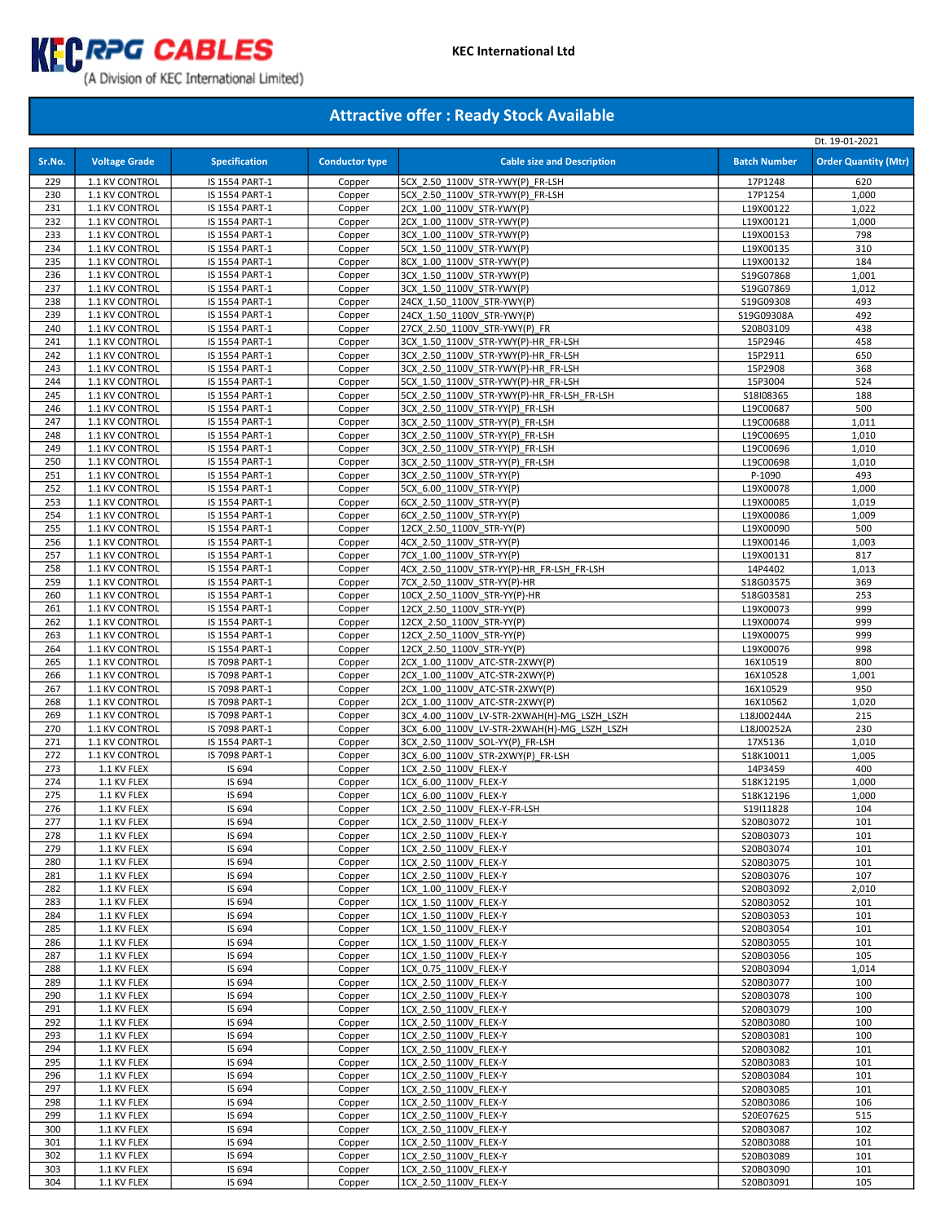

# (A Division of KEC International Limited)

|            |                                  |                                  |                       |                                                                                |                        | Dt. 19-01-2021              |
|------------|----------------------------------|----------------------------------|-----------------------|--------------------------------------------------------------------------------|------------------------|-----------------------------|
| Sr.No.     | <b>Voltage Grade</b>             | <b>Specification</b>             | <b>Conductor type</b> | <b>Cable size and Description</b>                                              | <b>Batch Number</b>    | <b>Order Quantity (Mtr)</b> |
| 229        | 1.1 KV CONTROL                   | IS 1554 PART-1                   | Copper                | 5CX 2.50 1100V STR-YWY(P) FR-LSH                                               | 17P1248                | 620                         |
| 230        | 1.1 KV CONTROL                   | IS 1554 PART-1                   | Copper                | 5CX 2.50 1100V STR-YWY(P) FR-LSH                                               | 17P1254                | 1,000                       |
| 231        | 1.1 KV CONTROL                   | IS 1554 PART-1                   | Copper                | 2CX 1.00 1100V STR-YWY(P)                                                      | L19X00122              | 1,022                       |
| 232        | 1.1 KV CONTROL                   | IS 1554 PART-1                   | Copper                | 2CX 1.00 1100V STR-YWY(P)                                                      | L19X00121              | 1,000                       |
| 233        | 1.1 KV CONTROL                   | IS 1554 PART-1                   | Copper                | 3CX_1.00_1100V_STR-YWY(P)                                                      | L19X00153              | 798                         |
| 234        | 1.1 KV CONTROL                   | IS 1554 PART-1                   | Copper                | 5CX 1.50 1100V STR-YWY(P)                                                      | L19X00135              | 310                         |
| 235        | 1.1 KV CONTROL                   | IS 1554 PART-1                   | Copper                | 8CX 1.00 1100V STR-YWY(P)                                                      | L19X00132              | 184                         |
| 236        | 1.1 KV CONTROL                   | IS 1554 PART-1                   | Copper                | 3CX 1.50 1100V STR-YWY(P)                                                      | S19G07868              | 1,001                       |
| 237<br>238 | 1.1 KV CONTROL<br>1.1 KV CONTROL | IS 1554 PART-1<br>IS 1554 PART-1 | Copper<br>Copper      | 3CX 1.50 1100V STR-YWY(P)<br>24CX 1.50 1100V STR-YWY(P)                        | S19G07869<br>S19G09308 | 1,012<br>493                |
| 239        | 1.1 KV CONTROL                   | IS 1554 PART-1                   | Copper                | 24CX 1.50 1100V STR-YWY(P)                                                     | S19G09308A             | 492                         |
| 240        | 1.1 KV CONTROL                   | IS 1554 PART-1                   | Copper                | 27CX 2.50 1100V STR-YWY(P) FR                                                  | S20B03109              | 438                         |
| 241        | 1.1 KV CONTROL                   | IS 1554 PART-1                   | Copper                | 3CX 1.50 1100V STR-YWY(P)-HR FR-LSH                                            | 15P2946                | 458                         |
| 242        | 1.1 KV CONTROL                   | IS 1554 PART-1                   | Copper                | 3CX 2.50 1100V STR-YWY(P)-HR FR-LSH                                            | 15P2911                | 650                         |
| 243        | 1.1 KV CONTROL                   | IS 1554 PART-1                   | Copper                | 3CX 2.50 1100V STR-YWY(P)-HR FR-LSH                                            | 15P2908                | 368                         |
| 244        | 1.1 KV CONTROL                   | IS 1554 PART-1                   | Copper                | 5CX 1.50 1100V STR-YWY(P)-HR FR-LSH                                            | 15P3004                | 524                         |
| 245        | 1.1 KV CONTROL                   | IS 1554 PART-1                   | Copper                | 5CX 2.50 1100V STR-YWY(P)-HR FR-LSH FR-LSH                                     | S18I08365              | 188                         |
| 246        | 1.1 KV CONTROL                   | IS 1554 PART-1                   | Copper                | 3CX 2.50 1100V STR-YY(P) FR-LSH                                                | L19C00687              | 500                         |
| 247        | 1.1 KV CONTROL                   | IS 1554 PART-1                   | Copper                | 3CX 2.50 1100V STR-YY(P) FR-LSH                                                | L19C00688              | 1,011                       |
| 248        | 1.1 KV CONTROL                   | IS 1554 PART-1                   | Copper                | 3CX 2.50 1100V STR-YY(P) FR-LSH                                                | L19C00695              | 1,010                       |
| 249<br>250 | 1.1 KV CONTROL<br>1.1 KV CONTROL | IS 1554 PART-1<br>IS 1554 PART-1 | Copper<br>Copper      | 3CX 2.50 1100V STR-YY(P) FR-LSH<br>3CX 2.50 1100V STR-YY(P) FR-LSH             | L19C00696<br>L19C00698 | 1,010<br>1,010              |
| 251        | 1.1 KV CONTROL                   | IS 1554 PART-1                   | Copper                | 3CX 2.50 1100V STR-YY(P)                                                       | P-1090                 | 493                         |
| 252        | 1.1 KV CONTROL                   | IS 1554 PART-1                   | Copper                | 5CX 6.00 1100V STR-YY(P)                                                       | L19X00078              | 1,000                       |
| 253        | 1.1 KV CONTROL                   | IS 1554 PART-1                   | Copper                | 6CX 2.50 1100V STR-YY(P)                                                       | L19X00085              | 1,019                       |
| 254        | 1.1 KV CONTROL                   | IS 1554 PART-1                   | Copper                | 6CX 2.50 1100V STR-YY(P)                                                       | L19X00086              | 1,009                       |
| 255        | 1.1 KV CONTROL                   | IS 1554 PART-1                   | Copper                | 12CX 2.50 1100V STR-YY(P)                                                      | L19X00090              | 500                         |
| 256        | 1.1 KV CONTROL                   | IS 1554 PART-1                   | Copper                | 4CX 2.50 1100V STR-YY(P)                                                       | L19X00146              | 1,003                       |
| 257        | 1.1 KV CONTROL                   | IS 1554 PART-1                   | Copper                | 7CX 1.00 1100V STR-YY(P)                                                       | L19X00131              | 817                         |
| 258        | 1.1 KV CONTROL                   | IS 1554 PART-1                   | Copper                | 4CX_2.50_1100V_STR-YY(P)-HR_FR-LSH_FR-LSH                                      | 14P4402                | 1,013                       |
| 259        | 1.1 KV CONTROL                   | IS 1554 PART-1                   | Copper                | 7CX 2.50 1100V STR-YY(P)-HR                                                    | S18G03575              | 369                         |
| 260<br>261 | 1.1 KV CONTROL<br>1.1 KV CONTROL | IS 1554 PART-1<br>IS 1554 PART-1 | Copper<br>Copper      | 10CX 2.50 1100V STR-YY(P)-HR<br>12CX 2.50 1100V STR-YY(P)                      | S18G03581              | 253<br>999                  |
| 262        | 1.1 KV CONTROL                   | IS 1554 PART-1                   | Copper                | 12CX 2.50 1100V STR-YY(P)                                                      | L19X00073<br>L19X00074 | 999                         |
| 263        | 1.1 KV CONTROL                   | IS 1554 PART-1                   | Copper                | 12CX 2.50 1100V STR-YY(P)                                                      | L19X00075              | 999                         |
| 264        | 1.1 KV CONTROL                   | IS 1554 PART-1                   | Copper                | 12CX 2.50 1100V STR-YY(P)                                                      | L19X00076              | 998                         |
| 265        | 1.1 KV CONTROL                   | IS 7098 PART-1                   | Copper                | 2CX 1.00 1100V ATC-STR-2XWY(P)                                                 | 16X10519               | 800                         |
| 266        | 1.1 KV CONTROL                   | IS 7098 PART-1                   | Copper                | 2CX 1.00 1100V ATC-STR-2XWY(P)                                                 | 16X10528               | 1,001                       |
| 267        | 1.1 KV CONTROL                   | IS 7098 PART-1                   | Copper                | 2CX 1.00 1100V ATC-STR-2XWY(P)                                                 | 16X10529               | 950                         |
| 268        | 1.1 KV CONTROL                   | IS 7098 PART-1                   | Copper                | 2CX 1.00 1100V ATC-STR-2XWY(P)                                                 | 16X10562               | 1,020                       |
| 269        | 1.1 KV CONTROL                   | IS 7098 PART-1                   | Copper                | 3CX 4.00 1100V LV-STR-2XWAH(H)-MG LSZH LSZH                                    | L18J00244A             | 215                         |
| 270<br>271 | 1.1 KV CONTROL                   | IS 7098 PART-1                   | Copper<br>Copper      | 3CX 6.00 1100V LV-STR-2XWAH(H)-MG LSZH LSZH<br>3CX 2.50 1100V SOL-YY(P) FR-LSH | L18J00252A<br>17X5136  | 230<br>1,010                |
| 272        | 1.1 KV CONTROL<br>1.1 KV CONTROL | IS 1554 PART-1<br>IS 7098 PART-1 | Copper                | 3CX 6.00 1100V STR-2XWY(P) FR-LSH                                              | S18K10011              | 1,005                       |
| 273        | 1.1 KV FLEX                      | IS 694                           | Copper                | 1CX 2.50 1100V FLEX-Y                                                          | 14P3459                | 400                         |
| 274        | 1.1 KV FLEX                      | IS 694                           | Copper                | 1CX 6.00 1100V FLEX-Y                                                          | S18K12195              | 1,000                       |
| 275        | 1.1 KV FLEX                      | IS 694                           | Copper                | 1CX 6.00 1100V FLEX-Y                                                          | S18K12196              | 1,000                       |
| 276        | 1.1 KV FLEX                      | IS 694                           | Copper                | 1CX 2.50 1100V FLEX-Y-FR-LSH                                                   | S19I11828              | 104                         |
| 277        | 1.1 KV FLEX                      | IS 694                           | Copper                | 1CX 2.50 1100V FLEX-Y                                                          | S20B03072              | 101                         |
| 278        | 1.1 KV FLEX                      | IS 694                           | Copper                | 1CX 2.50 1100V FLEX-Y                                                          | S20B03073              | 101                         |
| 279        | 1.1 KV FLEX                      | IS 694                           | Copper                | 1CX 2.50 1100V FLEX-Y                                                          | S20B03074              | 101                         |
| 280<br>281 | 1.1 KV FLEX<br>1.1 KV FLEX       | IS 694<br>IS 694                 | Copper<br>Copper      | 1CX 2.50 1100V FLEX-Y<br>1CX 2.50 1100V FLEX-Y                                 | S20B03075<br>S20B03076 | 101<br>107                  |
| 282        | 1.1 KV FLEX                      | IS 694                           | Copper                | 1CX 1.00 1100V FLEX-Y                                                          | S20B03092              | 2,010                       |
| 283        | 1.1 KV FLEX                      | IS 694                           | Copper                | 1CX 1.50 1100V FLEX-Y                                                          | S20B03052              | 101                         |
| 284        | 1.1 KV FLEX                      | IS 694                           | Copper                | 1CX 1.50 1100V FLEX-Y                                                          | S20B03053              | 101                         |
| 285        | 1.1 KV FLEX                      | IS 694                           | Copper                | 1CX 1.50 1100V FLEX-Y                                                          | S20B03054              | 101                         |
| 286        | 1.1 KV FLEX                      | IS 694                           | Copper                | 1CX 1.50 1100V FLEX-Y                                                          | S20B03055              | 101                         |
| 287        | 1.1 KV FLEX                      | IS 694                           | Copper                | 1CX 1.50 1100V FLEX-Y                                                          | S20B03056              | 105                         |
| 288        | 1.1 KV FLEX                      | IS 694                           | Copper                | 1CX 0.75 1100V FLEX-Y                                                          | S20B03094              | 1,014                       |
| 289        | 1.1 KV FLEX                      | IS 694                           | Copper                | 1CX 2.50 1100V FLEX-Y                                                          | S20B03077              | 100                         |
| 290<br>291 | 1.1 KV FLEX<br>1.1 KV FLEX       | IS 694<br>IS 694                 | Copper                | 1CX 2.50 1100V FLEX-Y                                                          | S20B03078              | 100                         |
| 292        | 1.1 KV FLEX                      | IS 694                           | Copper<br>Copper      | 1CX 2.50 1100V FLEX-Y<br>1CX 2.50 1100V FLEX-Y                                 | S20B03079<br>S20B03080 | 100<br>100                  |
| 293        | 1.1 KV FLEX                      | IS 694                           | Copper                | 1CX 2.50 1100V FLEX-Y                                                          | S20B03081              | 100                         |
| 294        | 1.1 KV FLEX                      | IS 694                           | Copper                | 1CX 2.50 1100V FLEX-Y                                                          | S20B03082              | 101                         |
| 295        | 1.1 KV FLEX                      | IS 694                           | Copper                | 1CX 2.50 1100V FLEX-Y                                                          | S20B03083              | 101                         |
| 296        | 1.1 KV FLEX                      | IS 694                           | Copper                | 1CX 2.50 1100V FLEX-Y                                                          | S20B03084              | 101                         |
| 297        | 1.1 KV FLEX                      | IS 694                           | Copper                | 1CX 2.50 1100V FLEX-Y                                                          | S20B03085              | 101                         |
| 298        | 1.1 KV FLEX                      | IS 694                           | Copper                | 1CX 2.50 1100V FLEX-Y                                                          | S20B03086              | 106                         |
| 299        | 1.1 KV FLEX                      | IS 694                           | Copper                | 1CX 2.50 1100V FLEX-Y                                                          | S20E07625              | 515                         |
| 300        | 1.1 KV FLEX                      | IS 694                           | Copper                | 1CX 2.50 1100V FLEX-Y                                                          | S20B03087              | 102                         |
| 301        | 1.1 KV FLEX                      | IS 694                           | Copper                | 1CX 2.50 1100V FLEX-Y                                                          | S20B03088              | 101                         |
| 302        | 1.1 KV FLEX                      | IS 694                           | Copper                | 1CX 2.50 1100V FLEX-Y<br>1CX 2.50 1100V FLEX-Y                                 | S20B03089              | 101<br>101                  |
| 303<br>304 | 1.1 KV FLEX<br>1.1 KV FLEX       | IS 694<br>IS 694                 | Copper<br>Copper      | 1CX 2.50 1100V FLEX-Y                                                          | S20B03090<br>S20B03091 | 105                         |
|            |                                  |                                  |                       |                                                                                |                        |                             |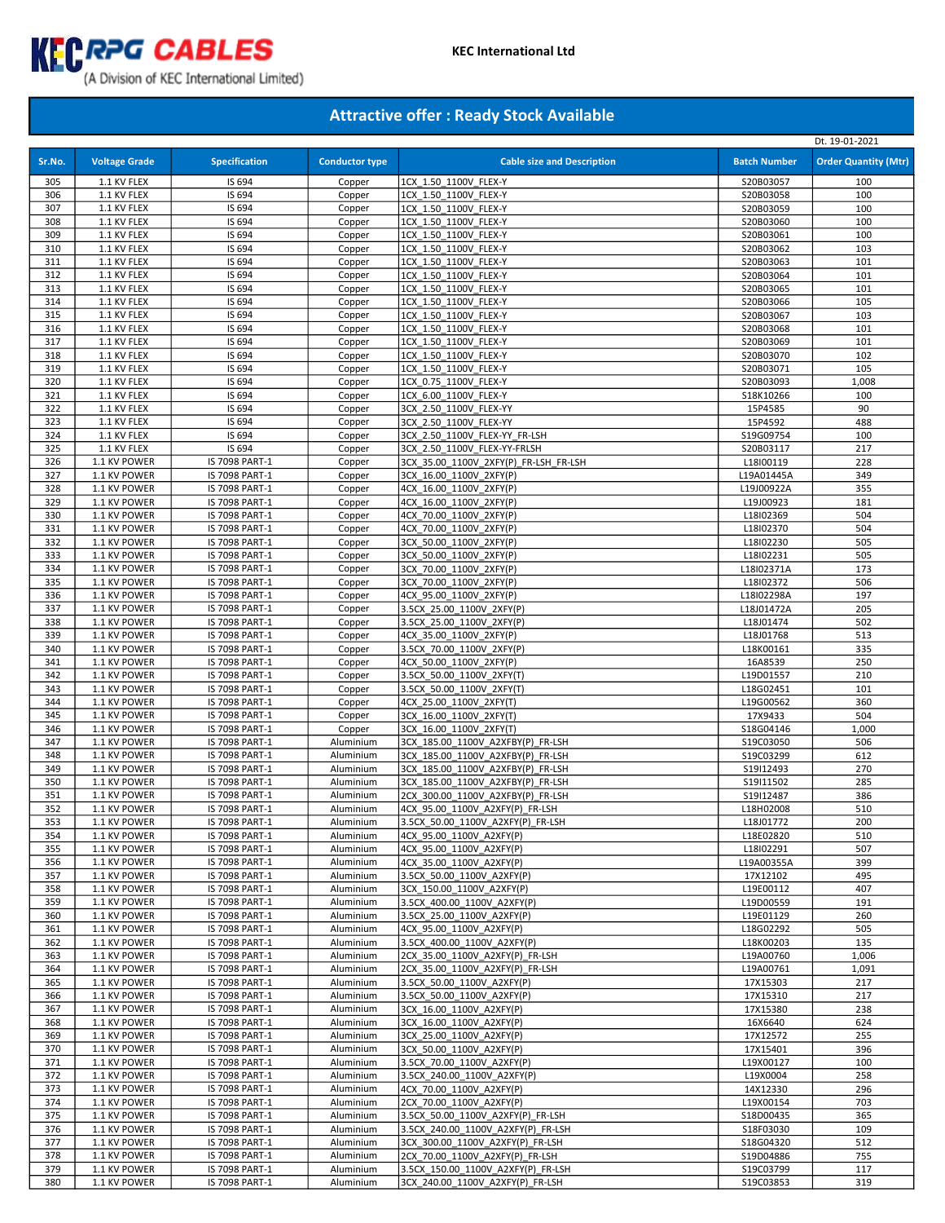

|            |                              |                                  |                        |                                                               |                         | Dt. 19-01-2021              |
|------------|------------------------------|----------------------------------|------------------------|---------------------------------------------------------------|-------------------------|-----------------------------|
| Sr.No.     | <b>Voltage Grade</b>         | <b>Specification</b>             | <b>Conductor type</b>  | <b>Cable size and Description</b>                             | <b>Batch Number</b>     | <b>Order Quantity (Mtr)</b> |
|            |                              |                                  |                        |                                                               |                         |                             |
| 305        | 1.1 KV FLEX                  | IS 694                           | Copper                 | 1CX 1.50 1100V FLEX-Y                                         | S20B03057               | 100                         |
| 306        | 1.1 KV FLEX                  | IS 694                           | Copper                 | 1CX 1.50 1100V FLEX-Y                                         | S20B03058               | 100                         |
| 307        | 1.1 KV FLEX                  | IS 694                           | Copper                 | 1CX 1.50 1100V FLEX-Y                                         | S20B03059               | 100                         |
| 308<br>309 | 1.1 KV FLEX                  | IS 694<br>IS 694                 | Copper                 | 1CX 1.50 1100V FLEX-Y                                         | S20B03060               | 100<br>100                  |
| 310        | 1.1 KV FLEX<br>1.1 KV FLEX   | IS 694                           | Copper                 | 1CX 1.50 1100V FLEX-Y                                         | S20B03061               | 103                         |
| 311        | 1.1 KV FLEX                  | IS 694                           | Copper<br>Copper       | 1CX 1.50 1100V FLEX-Y<br>1CX 1.50 1100V FLEX-Y                | S20B03062<br>S20B03063  | 101                         |
| 312        | 1.1 KV FLEX                  | IS 694                           | Copper                 | 1CX 1.50 1100V FLEX-Y                                         | S20B03064               | 101                         |
| 313        | 1.1 KV FLEX                  | IS 694                           | Copper                 | 1CX 1.50 1100V FLEX-Y                                         | S20B03065               | 101                         |
| 314        | 1.1 KV FLEX                  | IS 694                           | Copper                 | 1CX 1.50 1100V FLEX-Y                                         | S20B03066               | 105                         |
| 315        | 1.1 KV FLEX                  | IS 694                           | Copper                 | 1CX 1.50 1100V FLEX-Y                                         | S20B03067               | 103                         |
| 316        | 1.1 KV FLEX                  | IS 694                           | Copper                 | 1CX 1.50 1100V FLEX-Y                                         | S20B03068               | 101                         |
| 317        | 1.1 KV FLEX                  | IS 694                           | Copper                 | 1CX 1.50 1100V FLEX-Y                                         | S20B03069               | 101                         |
| 318        | 1.1 KV FLEX                  | IS 694                           | Copper                 | 1CX 1.50 1100V FLEX-Y                                         | S20B03070               | 102                         |
| 319        | 1.1 KV FLEX                  | IS 694                           | Copper                 | 1CX 1.50 1100V FLEX-Y                                         | S20B03071               | 105                         |
| 320        | 1.1 KV FLEX                  | IS 694                           | Copper                 | 1CX 0.75 1100V FLEX-Y                                         | S20B03093               | 1,008                       |
| 321        | 1.1 KV FLEX                  | IS 694                           | Copper                 | 1CX 6.00 1100V FLEX-Y                                         | S18K10266               | 100                         |
| 322        | 1.1 KV FLEX                  | IS 694                           | Copper                 | 3CX 2.50 1100V FLEX-YY                                        | 15P4585                 | 90                          |
| 323        | 1.1 KV FLEX                  | IS 694                           | Copper                 | 3CX 2.50 1100V FLEX-YY                                        | 15P4592                 | 488                         |
| 324        | 1.1 KV FLEX                  | IS 694                           | Copper                 | 3CX 2.50 1100V FLEX-YY FR-LSH                                 | S19G09754               | 100                         |
| 325        | 1.1 KV FLEX                  | IS 694                           | Copper                 | 3CX 2.50 1100V FLEX-YY-FRLSH                                  | S20B03117               | 217                         |
| 326        | 1.1 KV POWER                 | IS 7098 PART-1                   | Copper                 | 3CX 35.00 1100V 2XFY(P) FR-LSH FR-LSH                         | L18I00119               | 228                         |
| 327        | 1.1 KV POWER                 | IS 7098 PART-1                   | Copper                 | 3CX 16.00 1100V 2XFY(P)                                       | L19A01445A              | 349                         |
| 328        | 1.1 KV POWER                 | IS 7098 PART-1                   | Copper                 | 4CX 16.00 1100V 2XFY(P)                                       | L19J00922A              | 355                         |
| 329        | 1.1 KV POWER                 | IS 7098 PART-1                   | Copper                 | 4CX 16.00 1100V 2XFY(P)                                       | L19J00923               | 181                         |
| 330        | 1.1 KV POWER                 | IS 7098 PART-1                   | Copper                 | 4CX 70.00 1100V 2XFY(P)                                       | L18I02369               | 504                         |
| 331        | 1.1 KV POWER                 | IS 7098 PART-1                   | Copper                 | 4CX 70.00 1100V 2XFY(P)                                       | L18I02370               | 504                         |
| 332        | 1.1 KV POWER                 | IS 7098 PART-1                   | Copper                 | 3CX 50.00 1100V 2XFY(P)                                       | L18I02230               | 505                         |
| 333<br>334 | 1.1 KV POWER<br>1.1 KV POWER | IS 7098 PART-1                   | Copper                 | 3CX 50.00 1100V 2XFY(P)<br>3CX 70.00 1100V 2XFY(P)            | L18I02231<br>L18I02371A | 505<br>173                  |
| 335        | 1.1 KV POWER                 | IS 7098 PART-1<br>IS 7098 PART-1 | Copper<br>Copper       | 3CX 70.00 1100V 2XFY(P)                                       | L18I02372               | 506                         |
| 336        | 1.1 KV POWER                 | IS 7098 PART-1                   | Copper                 | 4CX 95.00 1100V 2XFY(P)                                       | L18I02298A              | 197                         |
| 337        | 1.1 KV POWER                 | IS 7098 PART-1                   | Copper                 | 3.5CX 25.00 1100V 2XFY(P)                                     | L18J01472A              | 205                         |
| 338        | 1.1 KV POWER                 | IS 7098 PART-1                   | Copper                 | 3.5CX 25.00 1100V 2XFY(P)                                     | L18J01474               | 502                         |
| 339        | 1.1 KV POWER                 | IS 7098 PART-1                   | Copper                 | 4CX 35.00 1100V 2XFY(P)                                       | L18J01768               | 513                         |
| 340        | 1.1 KV POWER                 | IS 7098 PART-1                   | Copper                 | 3.5CX 70.00 1100V 2XFY(P)                                     | L18K00161               | 335                         |
| 341        | 1.1 KV POWER                 | IS 7098 PART-1                   | Copper                 | 4CX 50.00 1100V 2XFY(P)                                       | 16A8539                 | 250                         |
| 342        | 1.1 KV POWER                 | IS 7098 PART-1                   | Copper                 | 3.5CX 50.00 1100V 2XFY(T)                                     | L19D01557               | 210                         |
| 343        | 1.1 KV POWER                 | IS 7098 PART-1                   | Copper                 | 3.5CX 50.00 1100V 2XFY(T)                                     | L18G02451               | 101                         |
| 344        | 1.1 KV POWER                 | IS 7098 PART-1                   | Copper                 | 4CX 25.00 1100V 2XFY(T)                                       | L19G00562               | 360                         |
| 345        | 1.1 KV POWER                 | IS 7098 PART-1                   | Copper                 | 3CX 16.00 1100V 2XFY(T)                                       | 17X9433                 | 504                         |
| 346        | 1.1 KV POWER                 | IS 7098 PART-1                   | Copper                 | 3CX 16.00 1100V 2XFY(T)                                       | S18G04146               | 1,000                       |
| 347        | 1.1 KV POWER                 | IS 7098 PART-1                   | Aluminium              | 3CX 185.00 1100V A2XFBY(P) FR-LSH                             | S19C03050               | 506                         |
| 348        | 1.1 KV POWER                 | IS 7098 PART-1                   | Aluminium              | 3CX 185.00 1100V A2XFBY(P) FR-LSH                             | S19C03299               | 612                         |
| 349        | 1.1 KV POWER                 | IS 7098 PART-1                   | Aluminium              | 3CX 185.00 1100V A2XFBY(P) FR-LSH                             | S19I12493               | 270                         |
| 350        | 1.1 KV POWER                 | IS 7098 PART-1                   | Aluminium              | 3CX 185.00 1100V A2XFBY(P) FR-LSH                             | S19I11502               | 285                         |
| 351        | 1.1 KV POWER                 | IS 7098 PART-1                   | Aluminium              | 2CX 300.00 1100V A2XFBY(P) FR-LSH                             | S19I12487               | 386                         |
| 352        | 1.1 KV POWER                 | IS 7098 PART-1                   | Aluminium              | 4CX 95.00 1100V A2XFY(P) FR-LSH                               | L18H02008               | 510                         |
| 353        | 1.1 KV POWER                 | IS 7098 PART-1                   | Aluminium              | 3.5CX 50.00 1100V A2XFY(P) FR-LSH<br>4CX 95.00 1100V A2XFY(P) | L18J01772               | 200                         |
| 354        | 1.1 KV POWER                 | IS 7098 PART-1                   | Aluminium              |                                                               | L18E02820<br>L18I02291  | 510                         |
| 355<br>356 | 1.1 KV POWER<br>1.1 KV POWER | IS 7098 PART-1<br>IS 7098 PART-1 | Aluminium<br>Aluminium | 4CX 95.00 1100V A2XFY(P)<br>4CX 35.00 1100V A2XFY(P)          | L19A00355A              | 507<br>399                  |
| 357        | 1.1 KV POWER                 | IS 7098 PART-1                   | Aluminium              | 3.5CX 50.00 1100V A2XFY(P)                                    | 17X12102                | 495                         |
| 358        | 1.1 KV POWER                 | IS 7098 PART-1                   | Aluminium              | 3CX 150.00 1100V A2XFY(P)                                     | L19E00112               | 407                         |
| 359        | 1.1 KV POWER                 | IS 7098 PART-1                   | Aluminium              | 3.5CX 400.00 1100V A2XFY(P)                                   | L19D00559               | 191                         |
| 360        | 1.1 KV POWER                 | IS 7098 PART-1                   | Aluminium              | 3.5CX 25.00 1100V A2XFY(P)                                    | L19E01129               | 260                         |
| 361        | 1.1 KV POWER                 | IS 7098 PART-1                   | Aluminium              | 4CX 95.00 1100V A2XFY(P)                                      | L18G02292               | 505                         |
| 362        | 1.1 KV POWER                 | IS 7098 PART-1                   | Aluminium              | 3.5CX 400.00 1100V A2XFY(P)                                   | L18K00203               | 135                         |
| 363        | 1.1 KV POWER                 | IS 7098 PART-1                   | Aluminium              | 2CX 35.00 1100V A2XFY(P) FR-LSH                               | L19A00760               | 1,006                       |
| 364        | 1.1 KV POWER                 | IS 7098 PART-1                   | Aluminium              | 2CX 35.00 1100V A2XFY(P) FR-LSH                               | L19A00761               | 1,091                       |
| 365        | 1.1 KV POWER                 | IS 7098 PART-1                   | Aluminium              | 3.5CX 50.00 1100V A2XFY(P)                                    | 17X15303                | 217                         |
| 366        | 1.1 KV POWER                 | IS 7098 PART-1                   | Aluminium              | 3.5CX 50.00 1100V A2XFY(P)                                    | 17X15310                | 217                         |
| 367        | 1.1 KV POWER                 | IS 7098 PART-1                   | Aluminium              | 3CX 16.00 1100V A2XFY(P)                                      | 17X15380                | 238                         |
| 368        | 1.1 KV POWER                 | IS 7098 PART-1                   | Aluminium              | 3CX 16.00 1100V A2XFY(P)                                      | 16X6640                 | 624                         |
| 369        | 1.1 KV POWER                 | IS 7098 PART-1                   | Aluminium              | 3CX 25.00 1100V A2XFY(P)                                      | 17X12572                | 255                         |
| 370        | 1.1 KV POWER                 | IS 7098 PART-1                   | Aluminium              | 3CX 50.00 1100V A2XFY(P)                                      | 17X15401                | 396                         |
| 371        | 1.1 KV POWER                 | IS 7098 PART-1                   | Aluminium              | 3.5CX 70.00 1100V A2XFY(P)                                    | L19X00127               | 100                         |
| 372        | 1.1 KV POWER                 | IS 7098 PART-1                   | Aluminium              | 3.5CX 240.00 1100V A2XFY(P)                                   | L19X0004                | 258                         |
| 373        | 1.1 KV POWER                 | IS 7098 PART-1                   | Aluminium              | 4CX 70.00 1100V A2XFY(P)                                      | 14X12330                | 296                         |
| 374<br>375 | 1.1 KV POWER<br>1.1 KV POWER | IS 7098 PART-1<br>IS 7098 PART-1 | Aluminium<br>Aluminium | 2CX 70.00 1100V A2XFY(P)<br>3.5CX 50.00 1100V A2XFY(P) FR-LSH | L19X00154<br>S18D00435  | 703<br>365                  |
| 376        | 1.1 KV POWER                 | IS 7098 PART-1                   | Aluminium              | 3.5CX 240.00 1100V A2XFY(P) FR-LSH                            | S18F03030               | 109                         |
| 377        | 1.1 KV POWER                 | IS 7098 PART-1                   | Aluminium              | 3CX 300.00_1100V_A2XFY(P)_FR-LSH                              | S18G04320               | 512                         |
| 378        | 1.1 KV POWER                 | IS 7098 PART-1                   | Aluminium              | 2CX 70.00 1100V A2XFY(P) FR-LSH                               | S19D04886               | 755                         |
| 379        | 1.1 KV POWER                 | IS 7098 PART-1                   | Aluminium              | 3.5CX 150.00 1100V A2XFY(P) FR-LSH                            | S19C03799               | 117                         |
| 380        | 1.1 KV POWER                 | IS 7098 PART-1                   | Aluminium              | 3CX 240.00 1100V A2XFY(P) FR-LSH                              | S19C03853               | 319                         |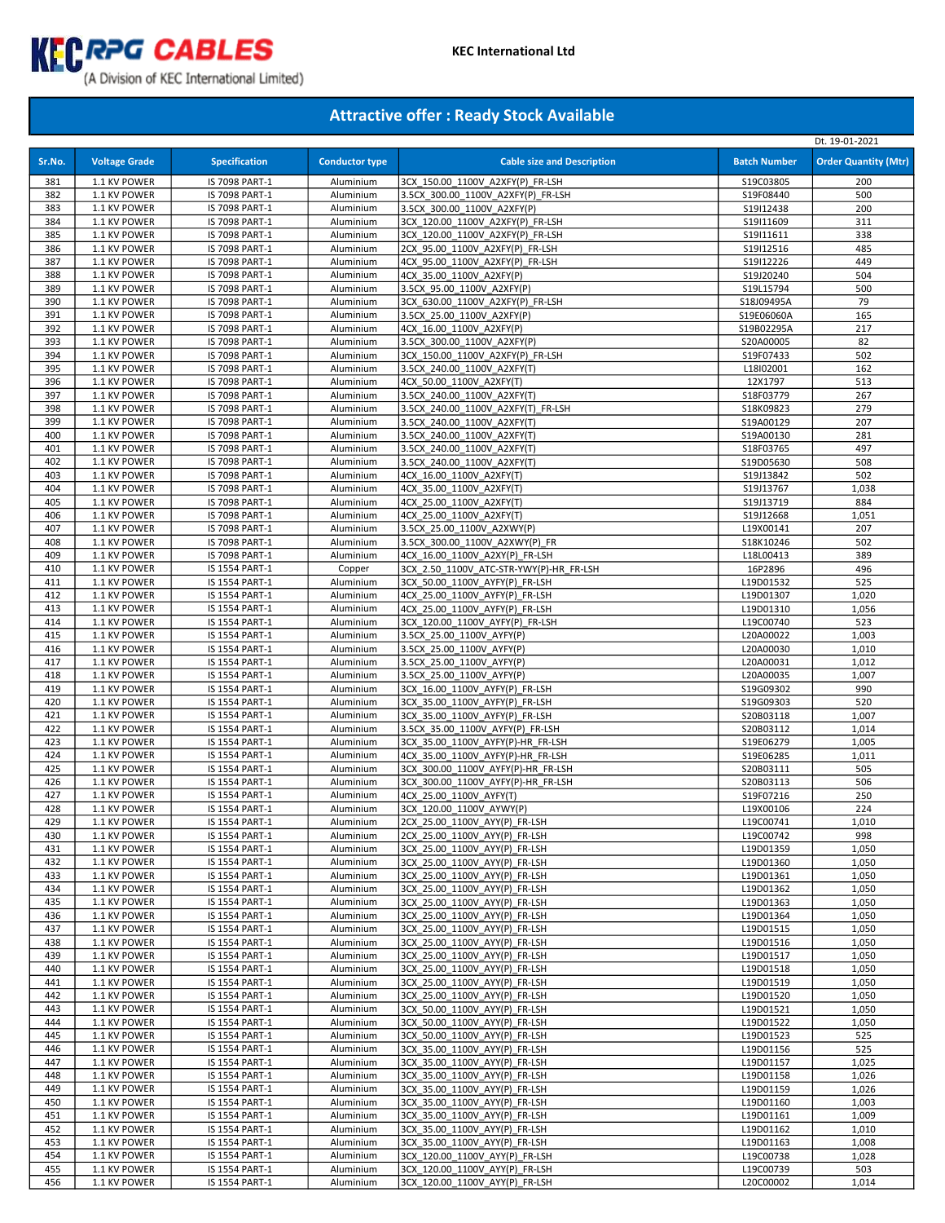

|            |                              |                                  |                        |                                                                        |                        | Dt. 19-01-2021              |
|------------|------------------------------|----------------------------------|------------------------|------------------------------------------------------------------------|------------------------|-----------------------------|
| Sr.No.     | <b>Voltage Grade</b>         | <b>Specification</b>             | <b>Conductor type</b>  | <b>Cable size and Description</b>                                      | <b>Batch Number</b>    | <b>Order Quantity (Mtr)</b> |
|            |                              |                                  |                        |                                                                        |                        |                             |
| 381<br>382 | 1.1 KV POWER<br>1.1 KV POWER | IS 7098 PART-1<br>IS 7098 PART-1 | Aluminium<br>Aluminium | 3CX 150.00 1100V A2XFY(P) FR-LSH<br>3.5CX 300.00 1100V A2XFY(P) FR-LSH | S19C03805<br>S19F08440 | 200<br>500                  |
| 383        | 1.1 KV POWER                 | IS 7098 PART-1                   | Aluminium              | 3.5CX 300.00 1100V A2XFY(P)                                            | S19I12438              | 200                         |
| 384        | 1.1 KV POWER                 | IS 7098 PART-1                   | Aluminium              | 3CX 120.00 1100V A2XFY(P) FR-LSH                                       | S19I11609              | 311                         |
| 385        | 1.1 KV POWER                 | IS 7098 PART-1                   | Aluminium              | 3CX 120.00 1100V A2XFY(P) FR-LSH                                       | S19I11611              | 338                         |
| 386        | 1.1 KV POWER                 | IS 7098 PART-1                   | Aluminium              | 2CX 95.00 1100V A2XFY(P) FR-LSH                                        | S19I12516              | 485                         |
| 387        | 1.1 KV POWER                 | IS 7098 PART-1                   | Aluminium              | 4CX 95.00 1100V A2XFY(P) FR-LSH                                        | S19I12226              | 449                         |
| 388        | 1.1 KV POWER                 | IS 7098 PART-1                   | Aluminium              | 4CX 35.00 1100V A2XFY(P)                                               | S19J20240              | 504                         |
| 389        | 1.1 KV POWER                 | IS 7098 PART-1                   | Aluminium              | 3.5CX 95.00 1100V A2XFY(P)                                             | S19L15794              | 500                         |
| 390        | 1.1 KV POWER                 | IS 7098 PART-1                   | Aluminium              | 3CX 630.00 1100V A2XFY(P) FR-LSH                                       | S18J09495A             | 79                          |
| 391        | 1.1 KV POWER                 | IS 7098 PART-1                   | Aluminium              | 3.5CX 25.00 1100V A2XFY(P)                                             | S19E06060A             | 165                         |
| 392        | 1.1 KV POWER                 | IS 7098 PART-1                   | Aluminium              | 4CX 16.00 1100V A2XFY(P)                                               | S19B02295A             | 217                         |
| 393        | 1.1 KV POWER                 | IS 7098 PART-1                   | Aluminium              | 3.5CX 300.00 1100V A2XFY(P)                                            | S20A00005              | 82                          |
| 394        | 1.1 KV POWER                 | IS 7098 PART-1                   | Aluminium              | 3CX 150.00 1100V A2XFY(P) FR-LSH                                       | S19F07433              | 502                         |
| 395<br>396 | 1.1 KV POWER<br>1.1 KV POWER | IS 7098 PART-1<br>IS 7098 PART-1 | Aluminium<br>Aluminium | 3.5CX 240.00 1100V A2XFY(T)<br>4CX 50.00 1100V A2XFY(T)                | L18I02001<br>12X1797   | 162<br>513                  |
| 397        | 1.1 KV POWER                 | IS 7098 PART-1                   | Aluminium              | 3.5CX 240.00 1100V A2XFY(T)                                            | S18F03779              | 267                         |
| 398        | 1.1 KV POWER                 | IS 7098 PART-1                   | Aluminium              | 3.5CX 240.00 1100V A2XFY(T) FR-LSH                                     | S18K09823              | 279                         |
| 399        | 1.1 KV POWER                 | IS 7098 PART-1                   | Aluminium              | 3.5CX 240.00 1100V A2XFY(T)                                            | S19A00129              | 207                         |
| 400        | 1.1 KV POWER                 | IS 7098 PART-1                   | Aluminium              | 3.5CX 240.00 1100V A2XFY(T)                                            | S19A00130              | 281                         |
| 401        | 1.1 KV POWER                 | IS 7098 PART-1                   | Aluminium              | 3.5CX 240.00 1100V A2XFY(T)                                            | S18F03765              | 497                         |
| 402        | 1.1 KV POWER                 | IS 7098 PART-1                   | Aluminium              | 3.5CX 240.00 1100V A2XFY(T)                                            | S19D05630              | 508                         |
| 403        | 1.1 KV POWER                 | IS 7098 PART-1                   | Aluminium              | 4CX 16.00 1100V A2XFY(T)                                               | S19J13842              | 502                         |
| 404        | 1.1 KV POWER                 | IS 7098 PART-1                   | Aluminium              | 4CX 35.00 1100V A2XFY(T)                                               | S19J13767              | 1,038                       |
| 405        | 1.1 KV POWER                 | IS 7098 PART-1                   | Aluminium              | 4CX 25.00 1100V A2XFY(T)                                               | S19J13719              | 884                         |
| 406        | 1.1 KV POWER                 | IS 7098 PART-1                   | Aluminium              | 4CX 25.00 1100V A2XFY(T)                                               | S19J12668              | 1,051                       |
| 407        | 1.1 KV POWER                 | IS 7098 PART-1                   | Aluminium              | 3.5CX 25.00 1100V A2XWY(P)                                             | L19X00141              | 207                         |
| 408<br>409 | 1.1 KV POWER<br>1.1 KV POWER | IS 7098 PART-1<br>IS 7098 PART-1 | Aluminium<br>Aluminium | 3.5CX 300.00 1100V A2XWY(P) FR<br>4CX 16.00 1100V A2XY(P) FR-LSH       | S18K10246<br>L18L00413 | 502<br>389                  |
| 410        | 1.1 KV POWER                 | IS 1554 PART-1                   | Copper                 | 3CX 2.50 1100V ATC-STR-YWY(P)-HR FR-LSH                                | 16P2896                | 496                         |
| 411        | 1.1 KV POWER                 | IS 1554 PART-1                   | Aluminium              | 3CX 50.00 1100V AYFY(P) FR-LSH                                         | L19D01532              | 525                         |
| 412        | 1.1 KV POWER                 | IS 1554 PART-1                   | Aluminium              | 4CX 25.00 1100V AYFY(P) FR-LSH                                         | L19D01307              | 1,020                       |
| 413        | 1.1 KV POWER                 | IS 1554 PART-1                   | Aluminium              | 4CX 25.00 1100V AYFY(P) FR-LSH                                         | L19D01310              | 1,056                       |
| 414        | 1.1 KV POWER                 | IS 1554 PART-1                   | Aluminium              | 3CX 120.00 1100V AYFY(P) FR-LSH                                        | L19C00740              | 523                         |
| 415        | 1.1 KV POWER                 | IS 1554 PART-1                   | Aluminium              | 3.5CX 25.00 1100V AYFY(P)                                              | L20A00022              | 1,003                       |
| 416        | 1.1 KV POWER                 | IS 1554 PART-1                   | Aluminium              | 3.5CX 25.00 1100V AYFY(P)                                              | L20A00030              | 1,010                       |
| 417        | 1.1 KV POWER                 | IS 1554 PART-1                   | Aluminium              | 3.5CX 25.00 1100V AYFY(P)                                              | L20A00031              | 1,012                       |
| 418        | 1.1 KV POWER                 | IS 1554 PART-1                   | Aluminium              | 3.5CX 25.00 1100V AYFY(P)                                              | L20A00035              | 1,007                       |
| 419        | 1.1 KV POWER                 | IS 1554 PART-1                   | Aluminium              | 3CX 16.00 1100V AYFY(P) FR-LSH                                         | S19G09302              | 990                         |
| 420        | 1.1 KV POWER                 | IS 1554 PART-1                   | Aluminium              | 3CX 35.00 1100V AYFY(P) FR-LSH                                         | S19G09303              | 520                         |
| 421<br>422 | 1.1 KV POWER<br>1.1 KV POWER | IS 1554 PART-1                   | Aluminium<br>Aluminium | 3CX 35.00 1100V AYFY(P) FR-LSH<br>3.5CX 35.00 1100V AYFY(P) FR-LSH     | S20B03118<br>S20B03112 | 1,007<br>1,014              |
| 423        | 1.1 KV POWER                 | IS 1554 PART-1<br>IS 1554 PART-1 | Aluminium              | 3CX_35.00_1100V_AYFY(P)-HR_FR-LSH                                      | S19E06279              | 1,005                       |
| 424        | 1.1 KV POWER                 | IS 1554 PART-1                   | Aluminium              | 4CX 35.00 1100V AYFY(P)-HR FR-LSH                                      | S19E06285              | 1,011                       |
| 425        | 1.1 KV POWER                 | IS 1554 PART-1                   | Aluminium              | 3CX 300.00 1100V AYFY(P)-HR FR-LSH                                     | S20B03111              | 505                         |
| 426        | 1.1 KV POWER                 | IS 1554 PART-1                   | Aluminium              | 3CX 300.00 1100V AYFY(P)-HR FR-LSH                                     | S20B03113              | 506                         |
| 427        | 1.1 KV POWER                 | IS 1554 PART-1                   | Aluminium              | 4CX 25.00 1100V AYFY(T)                                                | S19F07216              | 250                         |
| 428        | 1.1 KV POWER                 | IS 1554 PART-1                   | Aluminium              | 3CX 120.00 1100V AYWY(P)                                               | L19X00106              | 224                         |
| 429        | 1.1 KV POWER                 | IS 1554 PART-1                   | Aluminium              | 2CX_25.00_1100V_AYY(P)_FR-LSH                                          | L19C00741              | 1,010                       |
| 430        | 1.1 KV POWER                 | IS 1554 PART-1                   | Aluminium              | 2CX_25.00_1100V_AYY(P)_FR-LSH                                          | L19C00742              | 998                         |
| 431        | 1.1 KV POWER                 | IS 1554 PART-1                   | Aluminium              | 3CX 25.00 1100V AYY(P) FR-LSH                                          | L19D01359              | 1,050                       |
| 432        | 1.1 KV POWER                 | IS 1554 PART-1                   | Aluminium              | 3CX 25.00 1100V AYY(P) FR-LSH                                          | L19D01360              | 1,050                       |
| 433        | 1.1 KV POWER                 | IS 1554 PART-1                   | Aluminium              | 3CX 25.00 1100V AYY(P) FR-LSH                                          | L19D01361              | 1,050                       |
| 434<br>435 | 1.1 KV POWER<br>1.1 KV POWER | IS 1554 PART-1                   | Aluminium<br>Aluminium | 3CX 25.00 1100V AYY(P) FR-LSH<br>3CX 25.00 1100V AYY(P) FR-LSH         | L19D01362<br>L19D01363 | 1,050<br>1,050              |
| 436        | 1.1 KV POWER                 | IS 1554 PART-1<br>IS 1554 PART-1 | Aluminium              | 3CX 25.00 1100V AYY(P) FR-LSH                                          | L19D01364              | 1,050                       |
| 437        | 1.1 KV POWER                 | IS 1554 PART-1                   | Aluminium              | 3CX 25.00 1100V AYY(P) FR-LSH                                          | L19D01515              | 1,050                       |
| 438        | 1.1 KV POWER                 | IS 1554 PART-1                   | Aluminium              | 3CX 25.00 1100V AYY(P) FR-LSH                                          | L19D01516              | 1,050                       |
| 439        | 1.1 KV POWER                 | IS 1554 PART-1                   | Aluminium              | 3CX 25.00 1100V AYY(P) FR-LSH                                          | L19D01517              | 1,050                       |
| 440        | 1.1 KV POWER                 | IS 1554 PART-1                   | Aluminium              | 3CX 25.00 1100V AYY(P) FR-LSH                                          | L19D01518              | 1,050                       |
| 441        | 1.1 KV POWER                 | IS 1554 PART-1                   | Aluminium              | 3CX 25.00 1100V AYY(P) FR-LSH                                          | L19D01519              | 1,050                       |
| 442        | 1.1 KV POWER                 | IS 1554 PART-1                   | Aluminium              | 3CX 25.00 1100V AYY(P) FR-LSH                                          | L19D01520              | 1,050                       |
| 443        | 1.1 KV POWER                 | IS 1554 PART-1                   | Aluminium              | 3CX 50.00 1100V AYY(P) FR-LSH                                          | L19D01521              | 1,050                       |
| 444        | 1.1 KV POWER                 | IS 1554 PART-1                   | Aluminium              | 3CX 50.00 1100V AYY(P) FR-LSH                                          | L19D01522              | 1,050                       |
| 445        | 1.1 KV POWER                 | IS 1554 PART-1                   | Aluminium              | 3CX 50.00 1100V AYY(P) FR-LSH                                          | L19D01523              | 525                         |
| 446        | 1.1 KV POWER                 | IS 1554 PART-1                   | Aluminium              | 3CX 35.00 1100V AYY(P) FR-LSH                                          | L19D01156              | 525                         |
| 447        | 1.1 KV POWER                 | IS 1554 PART-1                   | Aluminium              | 3CX 35.00 1100V AYY(P) FR-LSH                                          | L19D01157              | 1,025                       |
| 448        | 1.1 KV POWER                 | IS 1554 PART-1                   | Aluminium              | 3CX 35.00 1100V AYY(P) FR-LSH                                          | L19D01158              | 1,026                       |
| 449<br>450 | 1.1 KV POWER<br>1.1 KV POWER | IS 1554 PART-1<br>IS 1554 PART-1 | Aluminium<br>Aluminium | 3CX 35.00 1100V AYY(P) FR-LSH<br>3CX 35.00 1100V AYY(P) FR-LSH         | L19D01159<br>L19D01160 | 1,026<br>1,003              |
| 451        | 1.1 KV POWER                 | IS 1554 PART-1                   | Aluminium              | 3CX 35.00 1100V AYY(P) FR-LSH                                          | L19D01161              | 1,009                       |
| 452        | 1.1 KV POWER                 | IS 1554 PART-1                   | Aluminium              | 3CX 35.00 1100V AYY(P) FR-LSH                                          | L19D01162              | 1,010                       |
| 453        | 1.1 KV POWER                 | IS 1554 PART-1                   | Aluminium              | 3CX_35.00_1100V_AYY(P)_FR-LSH                                          | L19D01163              | 1,008                       |
| 454        | 1.1 KV POWER                 | IS 1554 PART-1                   | Aluminium              | 3CX_120.00_1100V_AYY(P)_FR-LSH                                         | L19C00738              | 1,028                       |
| 455        | 1.1 KV POWER                 | IS 1554 PART-1                   | Aluminium              | 3CX 120.00 1100V AYY(P) FR-LSH                                         | L19C00739              | 503                         |
| 456        | 1.1 KV POWER                 | IS 1554 PART-1                   | Aluminium              | 3CX_120.00_1100V_AYY(P)_FR-LSH                                         | L20C00002              | 1,014                       |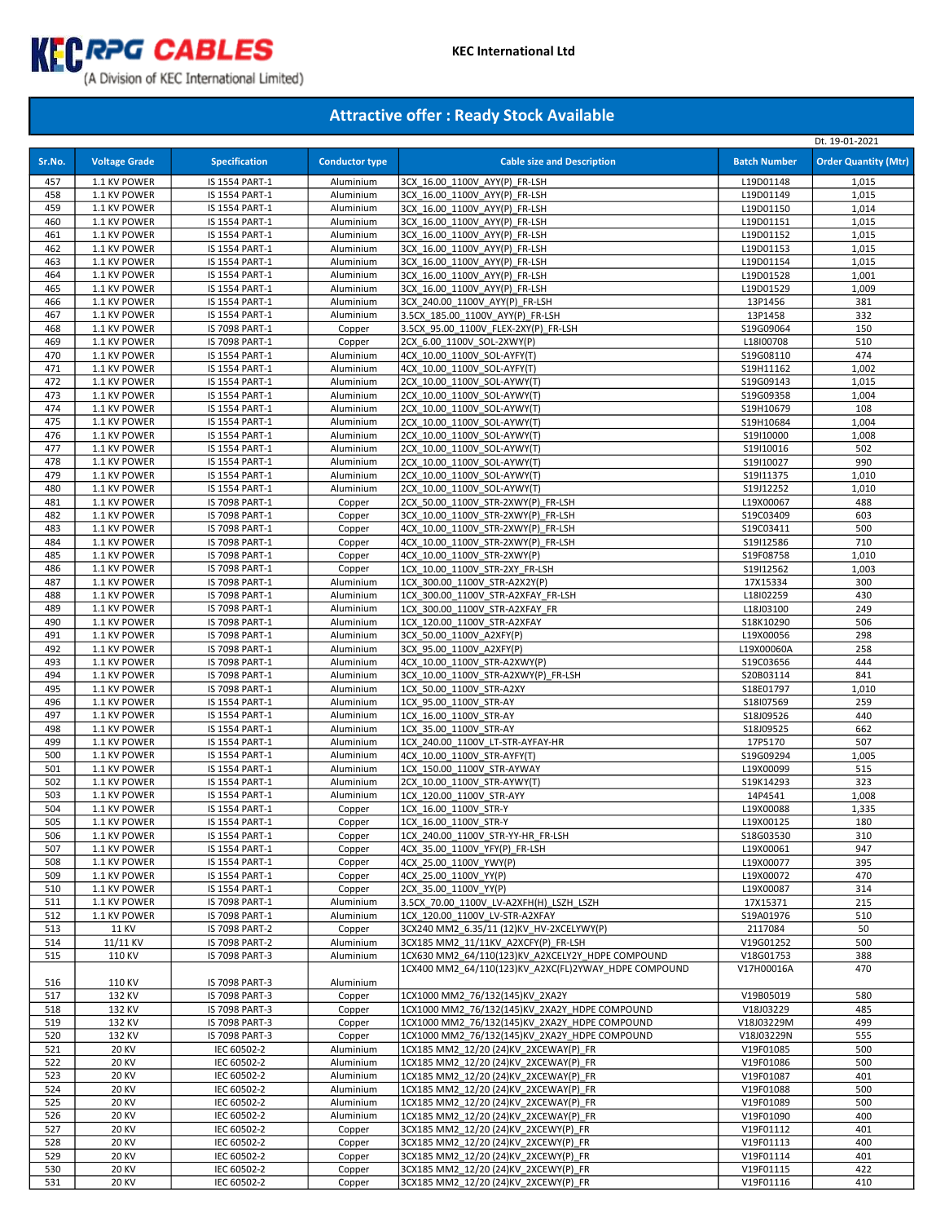

|        |                      |                      |                        |                                                      |                     | Dt. 19-01-2021              |
|--------|----------------------|----------------------|------------------------|------------------------------------------------------|---------------------|-----------------------------|
| Sr.No. | <b>Voltage Grade</b> | <b>Specification</b> | <b>Conductor type</b>  | <b>Cable size and Description</b>                    | <b>Batch Number</b> | <b>Order Quantity (Mtr)</b> |
|        |                      |                      |                        |                                                      |                     |                             |
| 457    | 1.1 KV POWER         | IS 1554 PART-1       | Aluminium              | 3CX 16.00 1100V AYY(P) FR-LSH                        | L19D01148           | 1,015                       |
| 458    | 1.1 KV POWER         | IS 1554 PART-1       | Aluminium              | 3CX 16.00 1100V AYY(P) FR-LSH                        | L19D01149           | 1,015                       |
| 459    | 1.1 KV POWER         | IS 1554 PART-1       | Aluminium              | 3CX 16.00 1100V AYY(P) FR-LSH                        | L19D01150           | 1,014                       |
| 460    | 1.1 KV POWER         | IS 1554 PART-1       | Aluminium              | 3CX 16.00 1100V AYY(P) FR-LSH                        | L19D01151           | 1,015                       |
| 461    | 1.1 KV POWER         | IS 1554 PART-1       | Aluminium              | 3CX 16.00 1100V AYY(P) FR-LSH                        | L19D01152           | 1,015                       |
| 462    | 1.1 KV POWER         | IS 1554 PART-1       | Aluminium              | 3CX 16.00 1100V AYY(P) FR-LSH                        | L19D01153           | 1,015                       |
| 463    | 1.1 KV POWER         | IS 1554 PART-1       | Aluminium              | 3CX 16.00 1100V AYY(P) FR-LSH                        | L19D01154           | 1,015                       |
| 464    | 1.1 KV POWER         | IS 1554 PART-1       | Aluminium              | 3CX 16.00 1100V AYY(P) FR-LSH                        | L19D01528           | 1,001                       |
| 465    | 1.1 KV POWER         | IS 1554 PART-1       | Aluminium              | 3CX 16.00 1100V AYY(P) FR-LSH                        | L19D01529           | 1,009                       |
| 466    | 1.1 KV POWER         | IS 1554 PART-1       | Aluminium              | 3CX 240.00 1100V AYY(P) FR-LSH                       | 13P1456             | 381                         |
| 467    | 1.1 KV POWER         | IS 1554 PART-1       | Aluminium              | 3.5CX 185.00 1100V AYY(P) FR-LSH                     | 13P1458             | 332                         |
| 468    | 1.1 KV POWER         | IS 7098 PART-1       | Copper                 | 3.5CX 95.00 1100V FLEX-2XY(P) FR-LSH                 | S19G09064           | 150                         |
| 469    | 1.1 KV POWER         | IS 7098 PART-1       | Copper                 | 2CX 6.00 1100V SOL-2XWY(P)                           | L18I00708           | 510                         |
| 470    | 1.1 KV POWER         | IS 1554 PART-1       | Aluminium              | 4CX 10.00 1100V SOL-AYFY(T)                          | S19G08110           | 474                         |
| 471    | 1.1 KV POWER         | IS 1554 PART-1       | Aluminium              | 4CX 10.00 1100V SOL-AYFY(T)                          | S19H11162           | 1,002                       |
| 472    | 1.1 KV POWER         | IS 1554 PART-1       | Aluminium              | 2CX 10.00 1100V SOL-AYWY(T)                          | S19G09143           | 1,015                       |
| 473    | 1.1 KV POWER         | IS 1554 PART-1       | Aluminium              | 2CX 10.00 1100V SOL-AYWY(T)                          | S19G09358           | 1,004                       |
| 474    | 1.1 KV POWER         | IS 1554 PART-1       | Aluminium              | 2CX 10.00 1100V SOL-AYWY(T)                          | S19H10679           | 108                         |
| 475    | 1.1 KV POWER         | IS 1554 PART-1       | Aluminium              | 2CX 10.00 1100V SOL-AYWY(T)                          | S19H10684           | 1,004                       |
| 476    | 1.1 KV POWER         | IS 1554 PART-1       | Aluminium              | 2CX 10.00 1100V SOL-AYWY(T)                          | S19I10000           | 1,008                       |
| 477    | 1.1 KV POWER         | IS 1554 PART-1       | Aluminium              | 2CX 10.00 1100V SOL-AYWY(T)                          | S19I10016           | 502                         |
| 478    | 1.1 KV POWER         | IS 1554 PART-1       | Aluminium              | 2CX 10.00 1100V SOL-AYWY(T)                          | S19I10027           | 990                         |
| 479    |                      |                      |                        |                                                      | S19I11375           |                             |
|        | 1.1 KV POWER         | IS 1554 PART-1       | Aluminium<br>Aluminium | 2CX 10.00 1100V SOL-AYWY(T)                          |                     | 1,010                       |
| 480    | 1.1 KV POWER         | IS 1554 PART-1       |                        | 2CX 10.00 1100V SOL-AYWY(T)                          | S19J12252           | 1,010                       |
| 481    | 1.1 KV POWER         | IS 7098 PART-1       | Copper                 | 2CX 50.00 1100V STR-2XWY(P) FR-LSH                   | L19X00067           | 488                         |
| 482    | 1.1 KV POWER         | IS 7098 PART-1       | Copper                 | 3CX 10.00 1100V STR-2XWY(P) FR-LSH                   | S19C03409           | 603                         |
| 483    | 1.1 KV POWER         | IS 7098 PART-1       | Copper                 | 4CX 10.00 1100V STR-2XWY(P) FR-LSH                   | S19C03411           | 500                         |
| 484    | 1.1 KV POWER         | IS 7098 PART-1       | Copper                 | 4CX 10.00 1100V STR-2XWY(P) FR-LSH                   | S19I12586           | 710                         |
| 485    | 1.1 KV POWER         | IS 7098 PART-1       | Copper                 | 4CX 10.00 1100V STR-2XWY(P)                          | S19F08758           | 1,010                       |
| 486    | 1.1 KV POWER         | IS 7098 PART-1       | Copper                 | 1CX_10.00_1100V_STR-2XY_FR-LSH                       | S19I12562           | 1,003                       |
| 487    | 1.1 KV POWER         | IS 7098 PART-1       | Aluminium              | 1CX 300.00 1100V STR-A2X2Y(P)                        | 17X15334            | 300                         |
| 488    | 1.1 KV POWER         | IS 7098 PART-1       | Aluminium              | 1CX 300.00 1100V STR-A2XFAY FR-LSH                   | L18I02259           | 430                         |
| 489    | 1.1 KV POWER         | IS 7098 PART-1       | Aluminium              | 1CX 300.00 1100V STR-A2XFAY FR                       | L18J03100           | 249                         |
| 490    | 1.1 KV POWER         | IS 7098 PART-1       | Aluminium              | 1CX 120.00 1100V STR-A2XFAY                          | S18K10290           | 506                         |
| 491    | 1.1 KV POWER         | IS 7098 PART-1       | Aluminium              | 3CX 50.00 1100V A2XFY(P)                             | L19X00056           | 298                         |
| 492    | 1.1 KV POWER         | IS 7098 PART-1       | Aluminium              | 3CX 95.00 1100V A2XFY(P)                             | L19X00060A          | 258                         |
| 493    | 1.1 KV POWER         | IS 7098 PART-1       | Aluminium              | 4CX 10.00 1100V STR-A2XWY(P)                         | S19C03656           | 444                         |
| 494    | 1.1 KV POWER         | IS 7098 PART-1       | Aluminium              | 3CX 10.00 1100V STR-A2XWY(P) FR-LSH                  | S20B03114           | 841                         |
| 495    | 1.1 KV POWER         | IS 7098 PART-1       | Aluminium              | 1CX 50.00 1100V STR-A2XY                             | S18E01797           | 1,010                       |
| 496    | 1.1 KV POWER         | IS 1554 PART-1       | Aluminium              | 1CX 95.00 1100V STR-AY                               | S18I07569           | 259                         |
| 497    | 1.1 KV POWER         | IS 1554 PART-1       | Aluminium              | 1CX 16.00 1100V STR-AY                               | S18J09526           | 440                         |
| 498    | 1.1 KV POWER         | IS 1554 PART-1       | Aluminium              | 1CX 35.00 1100V STR-AY                               | S18J09525           | 662                         |
| 499    | 1.1 KV POWER         | IS 1554 PART-1       | Aluminium              | 1CX 240.00_1100V_LT-STR-AYFAY-HR                     | 17P5170             | 507                         |
| 500    | 1.1 KV POWER         | IS 1554 PART-1       | Aluminium              | 4CX 10.00 1100V STR-AYFY(T)                          | S19G09294           | 1,005                       |
| 501    | 1.1 KV POWER         | IS 1554 PART-1       | Aluminium              | 1CX 150.00 1100V STR-AYWAY                           | L19X00099           | 515                         |
| 502    | 1.1 KV POWER         | IS 1554 PART-1       | Aluminium              | 2CX 10.00 1100V STR-AYWY(T)                          | S19K14293           | 323                         |
| 503    | 1.1 KV POWER         | IS 1554 PART-1       | Aluminium              | 1CX 120.00 1100V STR-AYY                             | 14P4541             | 1,008                       |
| 504    | 1.1 KV POWER         | IS 1554 PART-1       | Copper                 | 1CX 16.00 1100V STR-Y                                | L19X00088           | 1,335                       |
| 505    | 1.1 KV POWER         | IS 1554 PART-1       | Copper                 | 1CX 16.00 1100V STR-Y                                | L19X00125           | 180                         |
| 506    | 1.1 KV POWER         | IS 1554 PART-1       | Copper                 | 1CX 240.00 1100V STR-YY-HR FR-LSH                    | S18G03530           | 310                         |
| 507    | 1.1 KV POWER         | IS 1554 PART-1       | Copper                 | 4CX 35.00 1100V YFY(P) FR-LSH                        | L19X00061           | 947                         |
| 508    | 1.1 KV POWER         | IS 1554 PART-1       | Copper                 | 4CX 25.00 1100V YWY(P)                               | L19X00077           | 395                         |
| 509    | 1.1 KV POWER         | IS 1554 PART-1       | Copper                 | 4CX 25.00 1100V YY(P)                                | L19X00072           | 470                         |
| 510    | 1.1 KV POWER         | IS 1554 PART-1       | Copper                 | 2CX 35.00 1100V YY(P)                                | L19X00087           | 314                         |
| 511    | 1.1 KV POWER         | IS 7098 PART-1       | Aluminium              | 3.5CX_70.00_1100V_LV-A2XFH(H)_LSZH_LSZH              | 17X15371            | 215                         |
| 512    | 1.1 KV POWER         | IS 7098 PART-1       | Aluminium              | 1CX 120.00 1100V LV-STR-A2XFAY                       | S19A01976           | 510                         |
| 513    | <b>11 KV</b>         | IS 7098 PART-2       | Copper                 |                                                      | 2117084             | 50                          |
|        |                      |                      | Aluminium              | 3CX240 MM2 6.35/11 (12)KV HV-2XCELYWY(P)             |                     |                             |
| 514    | 11/11 KV             | IS 7098 PART-2       |                        | 3CX185 MM2 11/11KV A2XCFY(P) FR-LSH                  | V19G01252           | 500                         |
| 515    | 110 KV               | IS 7098 PART-3       | Aluminium              | 1CX630 MM2 64/110(123)KV A2XCELY2Y HDPE COMPOUND     | V18G01753           | 388                         |
|        |                      |                      |                        | 1CX400 MM2_64/110(123)KV_A2XC(FL)2YWAY_HDPE COMPOUND | V17H00016A          | 470                         |
| 516    | 110 KV               | IS 7098 PART-3       | Aluminium              |                                                      |                     |                             |
| 517    | 132 KV               | IS 7098 PART-3       | Copper                 | 1CX1000 MM2 76/132(145)KV 2XA2Y                      | V19B05019           | 580                         |
| 518    | 132 KV               | IS 7098 PART-3       | Copper                 | 1CX1000 MM2 76/132(145)KV 2XA2Y HDPE COMPOUND        | V18J03229           | 485                         |
| 519    | 132 KV               | IS 7098 PART-3       | Copper                 | 1CX1000 MM2_76/132(145)KV_2XA2Y_HDPE COMPOUND        | V18J03229M          | 499                         |
| 520    | 132 KV               | IS 7098 PART-3       | Copper                 | 1CX1000 MM2 76/132(145)KV 2XA2Y HDPE COMPOUND        | V18J03229N          | 555                         |
| 521    | <b>20 KV</b>         | IEC 60502-2          | Aluminium              | 1CX185 MM2 12/20 (24)KV 2XCEWAY(P) FR                | V19F01085           | 500                         |
| 522    | <b>20 KV</b>         | IEC 60502-2          | Aluminium              | 1CX185 MM2_12/20 (24)KV_2XCEWAY(P)_FR                | V19F01086           | 500                         |
| 523    | <b>20 KV</b>         | IEC 60502-2          | Aluminium              | 1CX185 MM2 12/20 (24)KV 2XCEWAY(P) FR                | V19F01087           | 401                         |
| 524    | <b>20 KV</b>         | IEC 60502-2          | Aluminium              | 1CX185 MM2 12/20 (24)KV 2XCEWAY(P) FR                | V19F01088           | 500                         |
| 525    | <b>20 KV</b>         | IEC 60502-2          | Aluminium              | 1CX185 MM2 12/20 (24)KV 2XCEWAY(P) FR                | V19F01089           | 500                         |
| 526    | <b>20 KV</b>         | IEC 60502-2          | Aluminium              | 1CX185 MM2_12/20 (24)KV_2XCEWAY(P)_FR                | V19F01090           | 400                         |
| 527    | <b>20 KV</b>         | IEC 60502-2          | Copper                 | 3CX185 MM2_12/20 (24)KV_2XCEWY(P)_FR                 | V19F01112           | 401                         |
| 528    | <b>20 KV</b>         | IEC 60502-2          | Copper                 | 3CX185 MM2 12/20 (24)KV 2XCEWY(P) FR                 | V19F01113           | 400                         |
| 529    | <b>20 KV</b>         | IEC 60502-2          | Copper                 | 3CX185 MM2 12/20 (24)KV 2XCEWY(P) FR                 | V19F01114           | 401                         |
| 530    | <b>20 KV</b>         | IEC 60502-2          | Copper                 | 3CX185 MM2 12/20 (24)KV 2XCEWY(P) FR                 | V19F01115           | 422                         |
| 531    | <b>20 KV</b>         | IEC 60502-2          | Copper                 | 3CX185 MM2 12/20 (24)KV 2XCEWY(P) FR                 | V19F01116           | 410                         |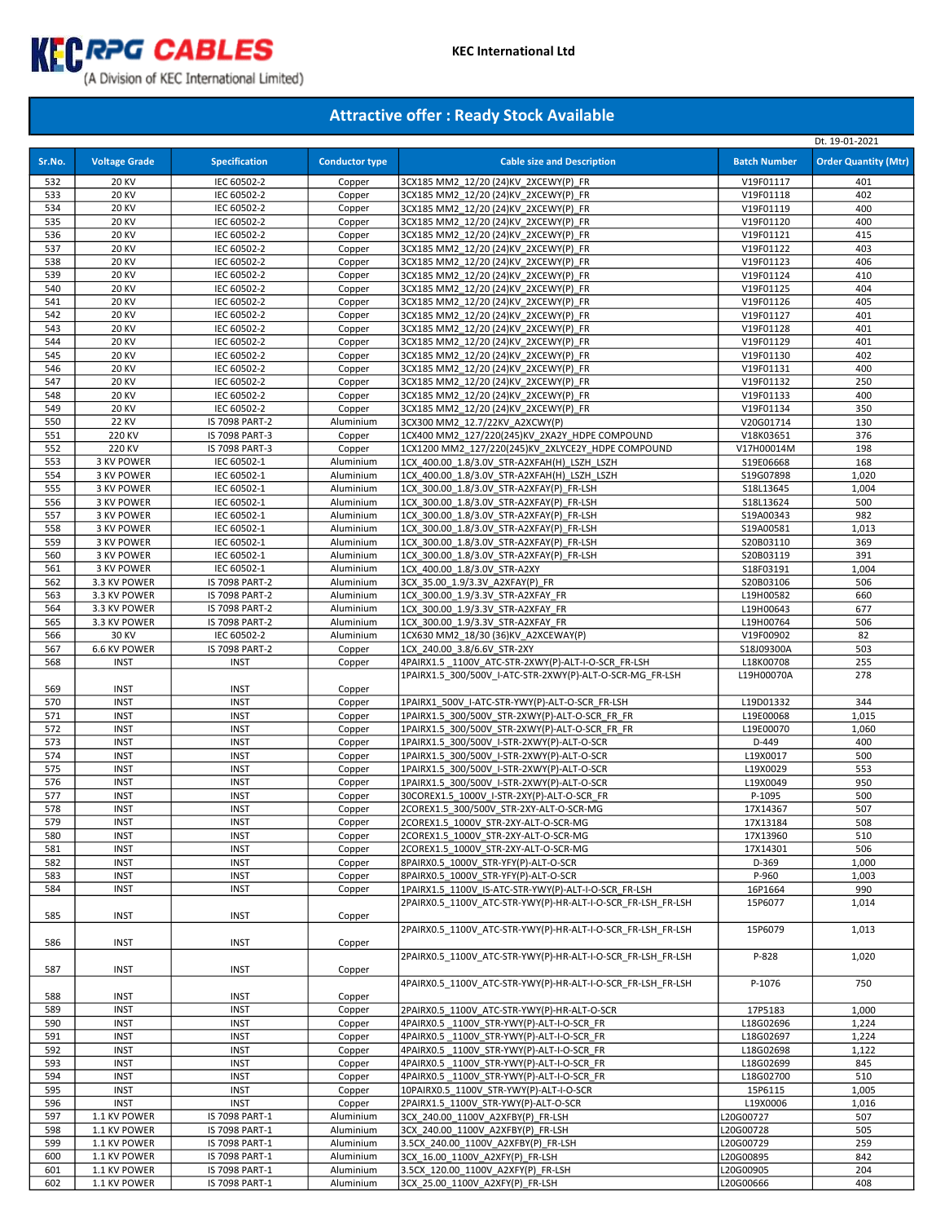

|            |                              |                                         |                        |                                                                                      |                        | Dt. 19-01-2021              |
|------------|------------------------------|-----------------------------------------|------------------------|--------------------------------------------------------------------------------------|------------------------|-----------------------------|
| Sr.No.     | <b>Voltage Grade</b>         | <b>Specification</b>                    | <b>Conductor type</b>  | <b>Cable size and Description</b>                                                    | <b>Batch Number</b>    | <b>Order Quantity (Mtr)</b> |
| 532        | <b>20 KV</b>                 | IEC 60502-2                             | Copper                 | 3CX185 MM2 12/20 (24)KV 2XCEWY(P) FR                                                 | V19F01117              | 401                         |
| 533        | <b>20 KV</b>                 | IEC 60502-2                             | Copper                 | 3CX185 MM2 12/20 (24)KV 2XCEWY(P) FR                                                 | V19F01118              | 402                         |
| 534        | <b>20 KV</b>                 | IEC 60502-2                             | Copper                 | 3CX185 MM2 12/20 (24)KV 2XCEWY(P) FR                                                 | V19F01119              | 400                         |
| 535        | <b>20 KV</b>                 | IEC 60502-2                             | Copper                 | 3CX185 MM2 12/20 (24)KV 2XCEWY(P) FR                                                 | V19F01120              | 400                         |
| 536        | <b>20 KV</b>                 | IEC 60502-2                             | Copper                 | 3CX185 MM2_12/20 (24)KV_2XCEWY(P)_FR                                                 | V19F01121              | 415                         |
| 537        | <b>20 KV</b>                 | IEC 60502-2                             | Copper                 | 3CX185 MM2 12/20 (24)KV 2XCEWY(P) FR                                                 | V19F01122              | 403                         |
| 538        | <b>20 KV</b>                 | IEC 60502-2                             | Copper                 | 3CX185 MM2 12/20 (24)KV 2XCEWY(P) FR                                                 | V19F01123              | 406                         |
| 539        | <b>20 KV</b>                 | IEC 60502-2                             | Copper                 | 3CX185 MM2 12/20 (24)KV 2XCEWY(P) FR                                                 | V19F01124              | 410                         |
| 540        | <b>20 KV</b>                 | IEC 60502-2                             | Copper                 | 3CX185 MM2_12/20 (24)KV_2XCEWY(P)_FR                                                 | V19F01125              | 404                         |
| 541        | <b>20 KV</b>                 | IEC 60502-2                             | Copper                 | 3CX185 MM2 12/20 (24)KV 2XCEWY(P) FR                                                 | V19F01126              | 405                         |
| 542<br>543 | <b>20 KV</b><br><b>20 KV</b> | IEC 60502-2<br>IEC 60502-2              | Copper                 | 3CX185 MM2 12/20 (24)KV 2XCEWY(P) FR                                                 | V19F01127              | 401                         |
| 544        | <b>20 KV</b>                 | IEC 60502-2                             | Copper<br>Copper       | 3CX185 MM2_12/20 (24)KV_2XCEWY(P) FR<br>3CX185 MM2 12/20 (24)KV 2XCEWY(P) FR         | V19F01128<br>V19F01129 | 401<br>401                  |
| 545        | <b>20 KV</b>                 | IEC 60502-2                             | Copper                 | 3CX185 MM2 12/20 (24)KV 2XCEWY(P) FR                                                 | V19F01130              | 402                         |
| 546        | <b>20 KV</b>                 | IEC 60502-2                             | Copper                 | 3CX185 MM2_12/20 (24)KV_2XCEWY(P)_FR                                                 | V19F01131              | 400                         |
| 547        | <b>20 KV</b>                 | IEC 60502-2                             | Copper                 | 3CX185 MM2_12/20 (24)KV_2XCEWY(P)_FR                                                 | V19F01132              | 250                         |
| 548        | <b>20 KV</b>                 | IEC 60502-2                             | Copper                 | 3CX185 MM2 12/20 (24)KV 2XCEWY(P) FR                                                 | V19F01133              | 400                         |
| 549        | <b>20 KV</b>                 | IEC 60502-2                             | Copper                 | 3CX185 MM2_12/20 (24)KV_2XCEWY(P)_FR                                                 | V19F01134              | 350                         |
| 550        | <b>22 KV</b>                 | IS 7098 PART-2                          | Aluminium              | 3CX300 MM2_12.7/22KV_A2XCWY(P)                                                       | V20G01714              | 130                         |
| 551        | 220 KV                       | IS 7098 PART-3                          | Copper                 | 1CX400 MM2 127/220(245)KV 2XA2Y HDPE COMPOUND                                        | V18K03651              | 376                         |
| 552        | 220 KV                       | IS 7098 PART-3                          | Copper                 | 1CX1200 MM2 127/220(245)KV 2XLYCE2Y HDPE COMPOUND                                    | V17H00014M             | 198                         |
| 553        | 3 KV POWER                   | IEC 60502-1                             | Aluminium              | 1CX 400.00 1.8/3.0V STR-A2XFAH(H) LSZH LSZH                                          | S19E06668              | 168                         |
| 554        | 3 KV POWER                   | IEC 60502-1                             | Aluminium              | 1CX_400.00_1.8/3.0V_STR-A2XFAH(H)_LSZH_LSZH                                          | S19G07898              | 1,020                       |
| 555        | 3 KV POWER                   | IEC 60502-1                             | Aluminium              | 1CX 300.00 1.8/3.0V STR-A2XFAY(P) FR-LSH                                             | S18L13645              | 1,004                       |
| 556        | 3 KV POWER                   | IEC 60502-1                             | Aluminium              | 1CX_300.00_1.8/3.0V_STR-A2XFAY(P)_FR-LSH                                             | S18L13624              | 500                         |
| 557        | 3 KV POWER                   | IEC 60502-1                             | Aluminium              | 1CX 300.00 1.8/3.0V STR-A2XFAY(P) FR-LSH                                             | S19A00343              | 982                         |
| 558        | 3 KV POWER                   | IEC 60502-1                             | Aluminium              | 1CX_300.00_1.8/3.0V_STR-A2XFAY(P)_FR-LSH                                             | S19A00581              | 1,013                       |
| 559        | 3 KV POWER                   | IEC 60502-1                             | Aluminium              | 1CX 300.00 1.8/3.0V STR-A2XFAY(P) FR-LSH                                             | S20B03110              | 369                         |
| 560        | 3 KV POWER                   | IEC 60502-1                             | Aluminium              | 1CX_300.00_1.8/3.0V_STR-A2XFAY(P)_FR-LSH                                             | S20B03119              | 391                         |
| 561        | 3 KV POWER                   | IEC 60502-1                             | Aluminium              | 1CX 400.00 1.8/3.0V STR-A2XY                                                         | S18F03191              | 1,004                       |
| 562<br>563 | 3.3 KV POWER<br>3.3 KV POWER | IS 7098 PART-2<br><b>IS 7098 PART-2</b> | Aluminium<br>Aluminium | 3CX 35.00 1.9/3.3V A2XFAY(P) FR                                                      | S20B03106              | 506                         |
| 564        | 3.3 KV POWER                 | IS 7098 PART-2                          | Aluminium              | 1CX 300.00 1.9/3.3V STR-A2XFAY FR<br>1CX 300.00 1.9/3.3V STR-A2XFAY FR               | L19H00582<br>L19H00643 | 660<br>677                  |
| 565        | 3.3 KV POWER                 | IS 7098 PART-2                          | Aluminium              | 1CX 300.00 1.9/3.3V STR-A2XFAY FR                                                    | L19H00764              | 506                         |
| 566        | 30 KV                        | IEC 60502-2                             | Aluminium              | 1CX630 MM2 18/30 (36)KV A2XCEWAY(P)                                                  | V19F00902              | 82                          |
| 567        | 6.6 KV POWER                 | IS 7098 PART-2                          | Copper                 | 1CX 240.00 3.8/6.6V STR-2XY                                                          | S18J09300A             | 503                         |
| 568        | <b>INST</b>                  | <b>INST</b>                             | Copper                 | 4PAIRX1.5_1100V_ATC-STR-2XWY(P)-ALT-I-O-SCR_FR-LSH                                   | L18K00708              | 255                         |
|            |                              |                                         |                        | 1PAIRX1.5 300/500V I-ATC-STR-2XWY(P)-ALT-O-SCR-MG FR-LSH                             | L19H00070A             | 278                         |
| 569        | <b>INST</b>                  | <b>INST</b>                             | Copper                 |                                                                                      |                        |                             |
| 570        | <b>INST</b>                  | <b>INST</b>                             | Copper                 | 1PAIRX1 500V I-ATC-STR-YWY(P)-ALT-O-SCR FR-LSH                                       | L19D01332              | 344                         |
| 571        | <b>INST</b>                  | <b>INST</b>                             | Copper                 | 1PAIRX1.5 300/500V STR-2XWY(P)-ALT-O-SCR FR FR                                       | L19E00068              | 1,015                       |
| 572        | <b>INST</b>                  | <b>INST</b>                             | Copper                 | 1PAIRX1.5 300/500V STR-2XWY(P)-ALT-O-SCR FR FR                                       | L19E00070              | 1,060                       |
| 573        | <b>INST</b>                  | <b>INST</b>                             | Copper                 | 1PAIRX1.5 300/500V I-STR-2XWY(P)-ALT-O-SCR                                           | D-449                  | 400                         |
| 574        | <b>INST</b>                  | <b>INST</b>                             | Copper                 | 1PAIRX1.5 300/500V I-STR-2XWY(P)-ALT-O-SCR                                           | L19X0017               | 500                         |
| 575        | <b>INST</b>                  | <b>INST</b>                             | Copper                 | 1PAIRX1.5 300/500V I-STR-2XWY(P)-ALT-O-SCR                                           | L19X0029               | 553                         |
| 576        | <b>INST</b>                  | <b>INST</b>                             | Copper                 | 1PAIRX1.5 300/500V I-STR-2XWY(P)-ALT-O-SCR                                           | L19X0049               | 950                         |
| 577<br>578 | <b>INST</b><br><b>INST</b>   | <b>INST</b><br><b>INST</b>              | Copper                 | 30COREX1.5_1000V_I-STR-2XY(P)-ALT-O-SCR_FR                                           | P-1095                 | 500                         |
| 579        | <b>INST</b>                  | <b>INST</b>                             | Copper<br>Copper       | 2COREX1.5 300/500V STR-2XY-ALT-O-SCR-MG<br>2COREX1.5 1000V STR-2XY-ALT-O-SCR-MG      | 17X14367<br>17X13184   | 507<br>508                  |
| 580        | <b>INST</b>                  | <b>INST</b>                             | Copper                 | 2COREX1.5 1000V STR-2XY-ALT-O-SCR-MG                                                 | 17X13960               | 510                         |
| 581        | <b>INST</b>                  | <b>INST</b>                             | Copper                 | 2COREX1.5 1000V STR-2XY-ALT-O-SCR-MG                                                 | 17X14301               | 506                         |
| 582        | <b>INST</b>                  | <b>INST</b>                             | Copper                 | 8PAIRX0.5 1000V STR-YFY(P)-ALT-O-SCR                                                 | D-369                  | 1,000                       |
| 583        | <b>INST</b>                  | <b>INST</b>                             | Copper                 | 8PAIRX0.5 1000V STR-YFY(P)-ALT-O-SCR                                                 | P-960                  | 1,003                       |
| 584        | <b>INST</b>                  | <b>INST</b>                             | Copper                 | 1PAIRX1.5_1100V_IS-ATC-STR-YWY(P)-ALT-I-O-SCR_FR-LSH                                 | 16P1664                | 990                         |
|            |                              |                                         |                        | 2PAIRX0.5 1100V ATC-STR-YWY(P)-HR-ALT-I-O-SCR FR-LSH FR-LSH                          | 15P6077                | 1,014                       |
| 585        | <b>INST</b>                  | <b>INST</b>                             | Copper                 |                                                                                      |                        |                             |
|            |                              |                                         |                        | 2PAIRX0.5 1100V ATC-STR-YWY(P)-HR-ALT-I-O-SCR FR-LSH FR-LSH                          | 15P6079                | 1,013                       |
| 586        | <b>INST</b>                  | <b>INST</b>                             | Copper                 |                                                                                      |                        |                             |
|            |                              |                                         |                        | 2PAIRX0.5 1100V ATC-STR-YWY(P)-HR-ALT-I-O-SCR FR-LSH FR-LSH                          | P-828                  | 1,020                       |
| 587        | <b>INST</b>                  | <b>INST</b>                             | Copper                 |                                                                                      |                        |                             |
|            |                              |                                         |                        | 4PAIRX0.5 1100V ATC-STR-YWY(P)-HR-ALT-I-O-SCR FR-LSH FR-LSH                          | P-1076                 | 750                         |
| 588        | <b>INST</b>                  | <b>INST</b>                             | Copper                 |                                                                                      |                        |                             |
| 589        | <b>INST</b>                  | <b>INST</b>                             | Copper                 | 2PAIRX0.5 1100V ATC-STR-YWY(P)-HR-ALT-O-SCR                                          | 17P5183                | 1,000                       |
| 590        | <b>INST</b>                  | <b>INST</b>                             | Copper                 | 4PAIRX0.5 1100V STR-YWY(P)-ALT-I-O-SCR FR                                            | L18G02696              | 1,224                       |
| 591        | <b>INST</b>                  | <b>INST</b>                             | Copper                 | 4PAIRX0.5 1100V STR-YWY(P)-ALT-I-O-SCR FR                                            | L18G02697              | 1,224                       |
| 592        | <b>INST</b>                  | <b>INST</b>                             | Copper                 | 4PAIRX0.5 1100V STR-YWY(P)-ALT-I-O-SCR FR                                            | L18G02698              | 1,122                       |
| 593<br>594 | <b>INST</b><br><b>INST</b>   | <b>INST</b><br><b>INST</b>              | Copper<br>Copper       | 4PAIRX0.5 1100V STR-YWY(P)-ALT-I-O-SCR FR                                            | L18G02699              | 845                         |
| 595        | <b>INST</b>                  | <b>INST</b>                             | Copper                 | 4PAIRX0.5 1100V_STR-YWY(P)-ALT-I-O-SCR_FR<br>10PAIRX0.5 1100V STR-YWY(P)-ALT-I-O-SCR | L18G02700<br>15P6115   | 510<br>1,005                |
| 596        | <b>INST</b>                  | <b>INST</b>                             | Copper                 | 2PAIRX1.5 1100V STR-YWY(P)-ALT-O-SCR                                                 | L19X0006               | 1,016                       |
| 597        | 1.1 KV POWER                 | IS 7098 PART-1                          | Aluminium              | 3CX 240.00 1100V A2XFBY(P) FR-LSH                                                    | L20G00727              | 507                         |
| 598        | 1.1 KV POWER                 | IS 7098 PART-1                          | Aluminium              | 3CX 240.00 1100V A2XFBY(P) FR-LSH                                                    | L20G00728              | 505                         |
| 599        | 1.1 KV POWER                 | IS 7098 PART-1                          | Aluminium              | 3.5CX 240.00 1100V A2XFBY(P) FR-LSH                                                  | L20G00729              | 259                         |
| 600        | 1.1 KV POWER                 | IS 7098 PART-1                          | Aluminium              | 3CX 16.00 1100V A2XFY(P) FR-LSH                                                      | L20G00895              | 842                         |
| 601        | 1.1 KV POWER                 | IS 7098 PART-1                          | Aluminium              | 3.5CX 120.00 1100V A2XFY(P) FR-LSH                                                   | L20G00905              | 204                         |
| 602        | 1.1 KV POWER                 | IS 7098 PART-1                          | Aluminium              | 3CX 25.00 1100V A2XFY(P) FR-LSH                                                      | L20G00666              | 408                         |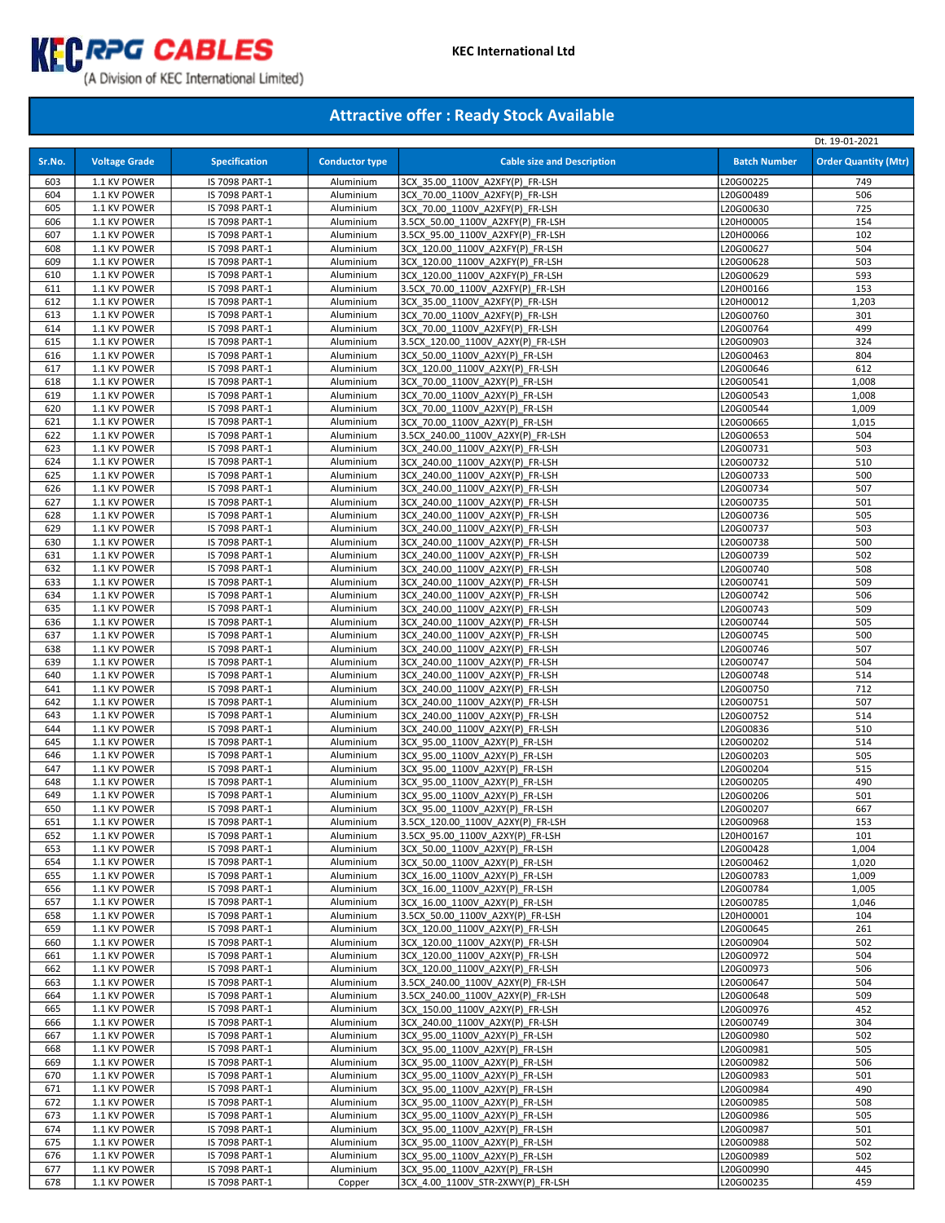

|            |                              |                                  |                        |                                                                      |                        | Dt. 19-01-2021              |
|------------|------------------------------|----------------------------------|------------------------|----------------------------------------------------------------------|------------------------|-----------------------------|
| Sr.No.     | <b>Voltage Grade</b>         | <b>Specification</b>             | <b>Conductor type</b>  | <b>Cable size and Description</b>                                    | <b>Batch Number</b>    | <b>Order Quantity (Mtr)</b> |
| 603        | 1.1 KV POWER                 | IS 7098 PART-1                   | Aluminium              | 3CX 35.00 1100V A2XFY(P) FR-LSH                                      | L20G00225              | 749                         |
| 604        | 1.1 KV POWER                 | IS 7098 PART-1                   | Aluminium              | 3CX 70.00 1100V A2XFY(P) FR-LSH                                      | L20G00489              | 506                         |
| 605        | 1.1 KV POWER                 | IS 7098 PART-1                   | Aluminium              | 3CX 70.00 1100V A2XFY(P) FR-LSH                                      | L20G00630              | 725                         |
| 606        | 1.1 KV POWER                 | IS 7098 PART-1                   | Aluminium              | 3.5CX 50.00 1100V A2XFY(P) FR-LSH                                    | L20H00005              | 154                         |
| 607        | 1.1 KV POWER                 | IS 7098 PART-1                   | Aluminium              | 3.5CX 95.00 1100V A2XFY(P) FR-LSH                                    | L20H00066              | 102                         |
| 608<br>609 | 1.1 KV POWER<br>1.1 KV POWER | IS 7098 PART-1<br>IS 7098 PART-1 | Aluminium<br>Aluminium | 3CX 120.00 1100V A2XFY(P) FR-LSH<br>3CX 120.00 1100V A2XFY(P) FR-LSH | L20G00627<br>L20G00628 | 504<br>503                  |
| 610        | 1.1 KV POWER                 | IS 7098 PART-1                   | Aluminium              | 3CX 120.00 1100V A2XFY(P) FR-LSH                                     | L20G00629              | 593                         |
| 611        | 1.1 KV POWER                 | IS 7098 PART-1                   | Aluminium              | 3.5CX 70.00 1100V A2XFY(P) FR-LSH                                    | L20H00166              | 153                         |
| 612        | 1.1 KV POWER                 | IS 7098 PART-1                   | Aluminium              | 3CX 35.00 1100V A2XFY(P) FR-LSH                                      | L20H00012              | 1,203                       |
| 613        | 1.1 KV POWER                 | IS 7098 PART-1                   | Aluminium              | 3CX 70.00 1100V A2XFY(P) FR-LSH                                      | L20G00760              | 301                         |
| 614        | 1.1 KV POWER                 | IS 7098 PART-1                   | Aluminium              | 3CX 70.00 1100V A2XFY(P) FR-LSH                                      | L20G00764              | 499                         |
| 615<br>616 | 1.1 KV POWER<br>1.1 KV POWER | IS 7098 PART-1<br>IS 7098 PART-1 | Aluminium<br>Aluminium | 3.5CX 120.00 1100V A2XY(P) FR-LSH<br>3CX 50.00 1100V A2XY(P) FR-LSH  | L20G00903<br>L20G00463 | 324<br>804                  |
| 617        | 1.1 KV POWER                 | IS 7098 PART-1                   | Aluminium              | 3CX 120.00 1100V A2XY(P) FR-LSH                                      | L20G00646              | 612                         |
| 618        | 1.1 KV POWER                 | IS 7098 PART-1                   | Aluminium              | 3CX 70.00 1100V A2XY(P) FR-LSH                                       | L20G00541              | 1,008                       |
| 619        | 1.1 KV POWER                 | IS 7098 PART-1                   | Aluminium              | 3CX 70.00 1100V A2XY(P) FR-LSH                                       | L20G00543              | 1,008                       |
| 620        | 1.1 KV POWER                 | IS 7098 PART-1                   | Aluminium              | 3CX 70.00 1100V A2XY(P) FR-LSH                                       | L20G00544              | 1,009                       |
| 621        | 1.1 KV POWER                 | IS 7098 PART-1                   | Aluminium              | 3CX 70.00_1100V_A2XY(P)_FR-LSH                                       | L20G00665              | 1,015                       |
| 622        | 1.1 KV POWER                 | IS 7098 PART-1                   | Aluminium              | 3.5CX 240.00 1100V A2XY(P) FR-LSH                                    | L20G00653              | 504                         |
| 623        | 1.1 KV POWER                 | IS 7098 PART-1                   | Aluminium              | 3CX 240.00 1100V A2XY(P) FR-LSH                                      | L20G00731              | 503                         |
| 624<br>625 | 1.1 KV POWER<br>1.1 KV POWER | IS 7098 PART-1<br>IS 7098 PART-1 | Aluminium<br>Aluminium | 3CX 240.00 1100V A2XY(P) FR-LSH<br>3CX 240.00 1100V A2XY(P) FR-LSH   | L20G00732<br>L20G00733 | 510<br>500                  |
| 626        | 1.1 KV POWER                 | IS 7098 PART-1                   | Aluminium              | 3CX 240.00 1100V A2XY(P) FR-LSH                                      | L20G00734              | 507                         |
| 627        | 1.1 KV POWER                 | IS 7098 PART-1                   | Aluminium              | 3CX 240.00 1100V A2XY(P) FR-LSH                                      | L20G00735              | 501                         |
| 628        | 1.1 KV POWER                 | IS 7098 PART-1                   | Aluminium              | 3CX 240.00 1100V A2XY(P) FR-LSH                                      | L20G00736              | 505                         |
| 629        | 1.1 KV POWER                 | IS 7098 PART-1                   | Aluminium              | 3CX 240.00 1100V A2XY(P) FR-LSH                                      | L20G00737              | 503                         |
| 630        | 1.1 KV POWER                 | IS 7098 PART-1                   | Aluminium              | 3CX 240.00 1100V A2XY(P) FR-LSH                                      | L20G00738              | 500                         |
| 631        | 1.1 KV POWER                 | IS 7098 PART-1                   | Aluminium              | 3CX 240.00 1100V A2XY(P) FR-LSH                                      | L20G00739              | 502                         |
| 632        | 1.1 KV POWER                 | IS 7098 PART-1                   | Aluminium              | 3CX 240.00 1100V A2XY(P) FR-LSH                                      | L20G00740              | 508                         |
| 633<br>634 | 1.1 KV POWER<br>1.1 KV POWER | IS 7098 PART-1<br>IS 7098 PART-1 | Aluminium<br>Aluminium | 3CX 240.00 1100V A2XY(P) FR-LSH<br>3CX 240.00 1100V A2XY(P) FR-LSH   | L20G00741<br>L20G00742 | 509<br>506                  |
| 635        | 1.1 KV POWER                 | IS 7098 PART-1                   | Aluminium              | 3CX 240.00 1100V A2XY(P) FR-LSH                                      | L20G00743              | 509                         |
| 636        | 1.1 KV POWER                 | IS 7098 PART-1                   | Aluminium              | 3CX 240.00 1100V A2XY(P) FR-LSH                                      | L20G00744              | 505                         |
| 637        | 1.1 KV POWER                 | IS 7098 PART-1                   | Aluminium              | 3CX 240.00 1100V A2XY(P) FR-LSH                                      | L20G00745              | 500                         |
| 638        | 1.1 KV POWER                 | IS 7098 PART-1                   | Aluminium              | 3CX 240.00 1100V A2XY(P) FR-LSH                                      | L20G00746              | 507                         |
| 639        | 1.1 KV POWER                 | IS 7098 PART-1                   | Aluminium              | 3CX 240.00 1100V A2XY(P) FR-LSH                                      | L20G00747              | 504                         |
| 640        | 1.1 KV POWER                 | IS 7098 PART-1                   | Aluminium              | 3CX 240.00 1100V A2XY(P) FR-LSH                                      | L20G00748              | 514                         |
| 641<br>642 | 1.1 KV POWER<br>1.1 KV POWER | IS 7098 PART-1<br>IS 7098 PART-1 | Aluminium<br>Aluminium | 3CX 240.00 1100V A2XY(P) FR-LSH<br>3CX 240.00 1100V A2XY(P) FR-LSH   | L20G00750<br>L20G00751 | 712<br>507                  |
| 643        | 1.1 KV POWER                 | IS 7098 PART-1                   | Aluminium              | 3CX 240.00 1100V A2XY(P) FR-LSH                                      | L20G00752              | 514                         |
| 644        | 1.1 KV POWER                 | IS 7098 PART-1                   | Aluminium              | 3CX 240.00 1100V A2XY(P) FR-LSH                                      | L20G00836              | 510                         |
| 645        | 1.1 KV POWER                 | IS 7098 PART-1                   | Aluminium              | 3CX 95.00 1100V A2XY(P) FR-LSH                                       | L20G00202              | 514                         |
| 646        | 1.1 KV POWER                 | IS 7098 PART-1                   | Aluminium              | 3CX 95.00 1100V A2XY(P) FR-LSH                                       | L20G00203              | 505                         |
| 647        | 1.1 KV POWER                 | IS 7098 PART-1                   | Aluminium              | 3CX 95.00 1100V A2XY(P) FR-LSH                                       | L20G00204              | 515                         |
| 648        | 1.1 KV POWER                 | IS 7098 PART-1                   | Aluminium              | 3CX 95.00 1100V A2XY(P) FR-LSH                                       | L20G00205              | 490                         |
| 649<br>650 | 1.1 KV POWER<br>1.1 KV POWER | IS 7098 PART-1<br>IS 7098 PART-1 | Aluminium<br>Aluminium | 3CX 95.00 1100V A2XY(P) FR-LSH<br>3CX 95.00 1100V A2XY(P) FR-LSH     | L20G00206<br>L20G00207 | 501<br>667                  |
| 651        | 1.1 KV POWER                 | IS 7098 PART-1                   | Aluminium              | 3.5CX_120.00_1100V_A2XY(P)_FR-LSH                                    | L20G00968              | 153                         |
| 652        | 1.1 KV POWER                 | IS 7098 PART-1                   | Aluminium              | 3.5CX 95.00 1100V A2XY(P) FR-LSH                                     | L20H00167              | 101                         |
| 653        | 1.1 KV POWER                 | IS 7098 PART-1                   | Aluminium              | 3CX 50.00 1100V A2XY(P) FR-LSH                                       | L20G00428              | 1,004                       |
| 654        | 1.1 KV POWER                 | IS 7098 PART-1                   | Aluminium              | 3CX 50.00 1100V A2XY(P) FR-LSH                                       | L20G00462              | 1,020                       |
| 655        | 1.1 KV POWER                 | IS 7098 PART-1                   | Aluminium              | 3CX 16.00 1100V A2XY(P) FR-LSH                                       | L20G00783              | 1,009                       |
| 656        | 1.1 KV POWER                 | IS 7098 PART-1                   | Aluminium              | 3CX 16.00 1100V A2XY(P) FR-LSH                                       | L20G00784              | 1,005                       |
| 657<br>658 | 1.1 KV POWER<br>1.1 KV POWER | IS 7098 PART-1<br>IS 7098 PART-1 | Aluminium<br>Aluminium | 3CX 16.00 1100V A2XY(P) FR-LSH<br>3.5CX 50.00 1100V A2XY(P) FR-LSH   | L20G00785<br>L20H00001 | 1,046<br>104                |
| 659        | 1.1 KV POWER                 | IS 7098 PART-1                   | Aluminium              | 3CX 120.00 1100V A2XY(P) FR-LSH                                      | L20G00645              | 261                         |
| 660        | 1.1 KV POWER                 | IS 7098 PART-1                   | Aluminium              | 3CX 120.00 1100V A2XY(P) FR-LSH                                      | L20G00904              | 502                         |
| 661        | 1.1 KV POWER                 | IS 7098 PART-1                   | Aluminium              | 3CX 120.00 1100V A2XY(P) FR-LSH                                      | L20G00972              | 504                         |
| 662        | 1.1 KV POWER                 | IS 7098 PART-1                   | Aluminium              | 3CX 120.00 1100V A2XY(P) FR-LSH                                      | L20G00973              | 506                         |
| 663        | 1.1 KV POWER                 | IS 7098 PART-1                   | Aluminium              | 3.5CX 240.00 1100V A2XY(P) FR-LSH                                    | L20G00647              | 504                         |
| 664        | 1.1 KV POWER                 | IS 7098 PART-1                   | Aluminium              | 3.5CX 240.00 1100V A2XY(P) FR-LSH                                    | L20G00648              | 509                         |
| 665        | 1.1 KV POWER                 | IS 7098 PART-1                   | Aluminium              | 3CX 150.00 1100V A2XY(P) FR-LSH                                      | L20G00976              | 452                         |
| 666<br>667 | 1.1 KV POWER<br>1.1 KV POWER | IS 7098 PART-1<br>IS 7098 PART-1 | Aluminium<br>Aluminium | 3CX 240.00 1100V A2XY(P) FR-LSH<br>3CX 95.00 1100V A2XY(P) FR-LSH    | L20G00749<br>L20G00980 | 304<br>502                  |
| 668        | 1.1 KV POWER                 | IS 7098 PART-1                   | Aluminium              | 3CX 95.00 1100V A2XY(P) FR-LSH                                       | L20G00981              | 505                         |
| 669        | 1.1 KV POWER                 | IS 7098 PART-1                   | Aluminium              | 3CX 95.00 1100V_A2XY(P)_FR-LSH                                       | L20G00982              | 506                         |
| 670        | 1.1 KV POWER                 | IS 7098 PART-1                   | Aluminium              | 3CX 95.00 1100V A2XY(P) FR-LSH                                       | L20G00983              | 501                         |
| 671        | 1.1 KV POWER                 | IS 7098 PART-1                   | Aluminium              | 3CX 95.00 1100V A2XY(P) FR-LSH                                       | L20G00984              | 490                         |
| 672        | 1.1 KV POWER                 | IS 7098 PART-1                   | Aluminium              | 3CX 95.00 1100V A2XY(P) FR-LSH                                       | L20G00985              | 508                         |
| 673        | 1.1 KV POWER                 | IS 7098 PART-1                   | Aluminium              | 3CX 95.00 1100V A2XY(P) FR-LSH                                       | L20G00986              | 505                         |
| 674<br>675 | 1.1 KV POWER<br>1.1 KV POWER | IS 7098 PART-1<br>IS 7098 PART-1 | Aluminium<br>Aluminium | 3CX 95.00 1100V A2XY(P) FR-LSH<br>3CX 95.00 1100V A2XY(P) FR-LSH     | L20G00987<br>L20G00988 | 501<br>502                  |
| 676        | 1.1 KV POWER                 | IS 7098 PART-1                   | Aluminium              | 3CX 95.00 1100V A2XY(P) FR-LSH                                       | L20G00989              | 502                         |
| 677        | 1.1 KV POWER                 | IS 7098 PART-1                   | Aluminium              | 3CX 95.00 1100V A2XY(P) FR-LSH                                       | L20G00990              | 445                         |
| 678        | 1.1 KV POWER                 | IS 7098 PART-1                   | Copper                 | 3CX 4.00 1100V STR-2XWY(P) FR-LSH                                    | L20G00235              | 459                         |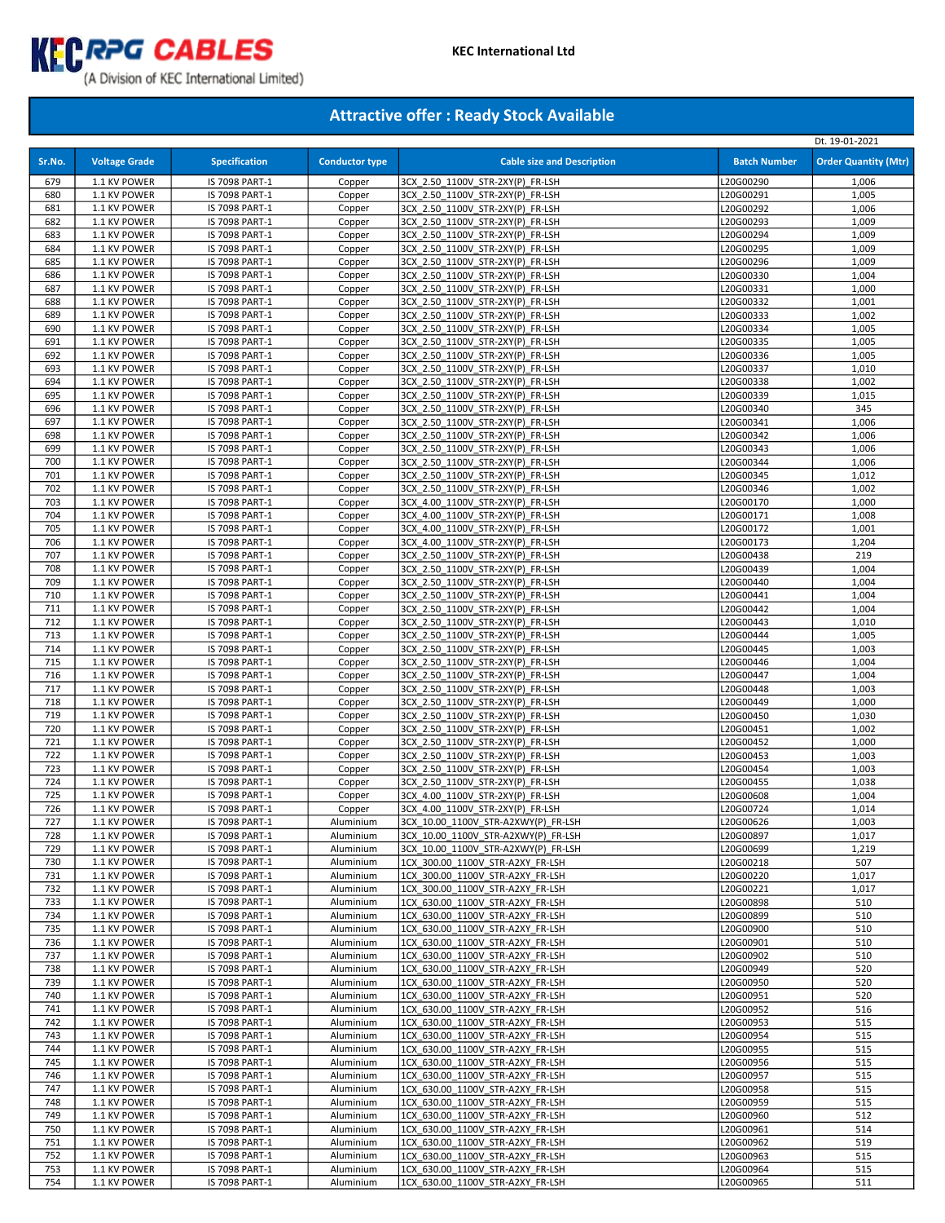

# (A Division of KEC International Limited)

|            |                              |                                  |                        |                                                                      |                        | Dt. 19-01-2021              |
|------------|------------------------------|----------------------------------|------------------------|----------------------------------------------------------------------|------------------------|-----------------------------|
| Sr.No.     | <b>Voltage Grade</b>         | <b>Specification</b>             | <b>Conductor type</b>  | <b>Cable size and Description</b>                                    | <b>Batch Number</b>    | <b>Order Quantity (Mtr)</b> |
|            |                              |                                  |                        |                                                                      |                        |                             |
| 679<br>680 | 1.1 KV POWER                 | IS 7098 PART-1                   | Copper                 | 3CX 2.50 1100V STR-2XY(P) FR-LSH<br>3CX 2.50 1100V STR-2XY(P) FR-LSH | L20G00290<br>L20G00291 | 1,006                       |
| 681        | 1.1 KV POWER<br>1.1 KV POWER | IS 7098 PART-1<br>IS 7098 PART-1 | Copper<br>Copper       | 3CX 2.50 1100V STR-2XY(P) FR-LSH                                     | L20G00292              | 1,005<br>1,006              |
| 682        | 1.1 KV POWER                 | IS 7098 PART-1                   | Copper                 | 3CX 2.50 1100V STR-2XY(P) FR-LSH                                     | L20G00293              | 1,009                       |
| 683        | 1.1 KV POWER                 | IS 7098 PART-1                   | Copper                 | 3CX_2.50_1100V_STR-2XY(P)_FR-LSH                                     | L20G00294              | 1,009                       |
| 684        | 1.1 KV POWER                 | IS 7098 PART-1                   | Copper                 | 3CX 2.50 1100V STR-2XY(P) FR-LSH                                     | L20G00295              | 1,009                       |
| 685        | 1.1 KV POWER                 | IS 7098 PART-1                   | Copper                 | 3CX 2.50 1100V STR-2XY(P) FR-LSH                                     | L20G00296              | 1,009                       |
| 686        | 1.1 KV POWER                 | IS 7098 PART-1                   | Copper                 | 3CX 2.50 1100V STR-2XY(P) FR-LSH                                     | L20G00330              | 1,004                       |
| 687        | 1.1 KV POWER                 | IS 7098 PART-1                   | Copper                 | 3CX 2.50 1100V STR-2XY(P) FR-LSH                                     | L20G00331              | 1,000                       |
| 688        | 1.1 KV POWER                 | IS 7098 PART-1                   | Copper                 | 3CX 2.50 1100V STR-2XY(P) FR-LSH                                     | L20G00332              | 1,001                       |
| 689        | 1.1 KV POWER                 | IS 7098 PART-1                   | Copper                 | 3CX 2.50 1100V STR-2XY(P) FR-LSH                                     | L20G00333              | 1,002                       |
| 690        | 1.1 KV POWER                 | IS 7098 PART-1                   | Copper                 | 3CX 2.50 1100V STR-2XY(P) FR-LSH                                     | L20G00334              | 1,005                       |
| 691        | 1.1 KV POWER                 | IS 7098 PART-1                   | Copper                 | 3CX 2.50 1100V STR-2XY(P) FR-LSH                                     | L20G00335              | 1,005                       |
| 692        | 1.1 KV POWER                 | IS 7098 PART-1                   | Copper                 | 3CX 2.50 1100V STR-2XY(P) FR-LSH                                     | L20G00336              | 1,005                       |
| 693        | 1.1 KV POWER                 | IS 7098 PART-1                   | Copper                 | 3CX 2.50 1100V STR-2XY(P) FR-LSH                                     | L20G00337              | 1,010                       |
| 694        | 1.1 KV POWER                 | IS 7098 PART-1                   | Copper                 | 3CX 2.50 1100V STR-2XY(P) FR-LSH                                     | L20G00338              | 1,002                       |
| 695        | 1.1 KV POWER                 | IS 7098 PART-1                   | Copper                 | 3CX 2.50 1100V STR-2XY(P) FR-LSH                                     | L20G00339              | 1,015                       |
| 696        | 1.1 KV POWER                 | IS 7098 PART-1                   | Copper                 | 3CX 2.50 1100V STR-2XY(P) FR-LSH                                     | L20G00340              | 345                         |
| 697        | 1.1 KV POWER                 | IS 7098 PART-1                   | Copper                 | 3CX 2.50 1100V STR-2XY(P) FR-LSH                                     | L20G00341              | 1,006                       |
| 698        | 1.1 KV POWER                 | IS 7098 PART-1                   | Copper                 | 3CX 2.50 1100V STR-2XY(P) FR-LSH                                     | L20G00342              | 1,006                       |
| 699        | 1.1 KV POWER                 | IS 7098 PART-1                   | Copper                 | 3CX 2.50 1100V STR-2XY(P) FR-LSH                                     | L20G00343              | 1,006                       |
| 700        | 1.1 KV POWER                 | IS 7098 PART-1                   | Copper                 | 3CX 2.50 1100V STR-2XY(P) FR-LSH                                     | L20G00344              | 1,006                       |
| 701        | 1.1 KV POWER                 | IS 7098 PART-1                   | Copper                 | 3CX 2.50 1100V STR-2XY(P) FR-LSH                                     | L20G00345              | 1,012                       |
| 702<br>703 | 1.1 KV POWER                 | IS 7098 PART-1                   | Copper                 | 3CX 2.50 1100V STR-2XY(P) FR-LSH<br>3CX 4.00 1100V STR-2XY(P) FR-LSH | L20G00346              | 1,002                       |
| 704        | 1.1 KV POWER<br>1.1 KV POWER | IS 7098 PART-1<br>IS 7098 PART-1 | Copper<br>Copper       | 3CX 4.00 1100V STR-2XY(P) FR-LSH                                     | L20G00170<br>L20G00171 | 1,000<br>1,008              |
| 705        | 1.1 KV POWER                 | IS 7098 PART-1                   | Copper                 | 3CX 4.00 1100V STR-2XY(P) FR-LSH                                     | L20G00172              | 1,001                       |
| 706        | 1.1 KV POWER                 | IS 7098 PART-1                   | Copper                 | 3CX 4.00_1100V_STR-2XY(P)_FR-LSH                                     | L20G00173              | 1,204                       |
| 707        | 1.1 KV POWER                 | IS 7098 PART-1                   | Copper                 | 3CX 2.50 1100V STR-2XY(P) FR-LSH                                     | L20G00438              | 219                         |
| 708        | 1.1 KV POWER                 | IS 7098 PART-1                   | Copper                 | 3CX 2.50 1100V STR-2XY(P) FR-LSH                                     | L20G00439              | 1,004                       |
| 709        | 1.1 KV POWER                 | IS 7098 PART-1                   | Copper                 | 3CX 2.50 1100V STR-2XY(P) FR-LSH                                     | L20G00440              | 1,004                       |
| 710        | 1.1 KV POWER                 | IS 7098 PART-1                   | Copper                 | 3CX 2.50 1100V STR-2XY(P) FR-LSH                                     | L20G00441              | 1,004                       |
| 711        | 1.1 KV POWER                 | IS 7098 PART-1                   | Copper                 | 3CX 2.50 1100V STR-2XY(P) FR-LSH                                     | L20G00442              | 1,004                       |
| 712        | 1.1 KV POWER                 | IS 7098 PART-1                   | Copper                 | 3CX 2.50 1100V STR-2XY(P) FR-LSH                                     | L20G00443              | 1,010                       |
| 713        | 1.1 KV POWER                 | IS 7098 PART-1                   | Copper                 | 3CX 2.50 1100V STR-2XY(P) FR-LSH                                     | L20G00444              | 1,005                       |
| 714        | 1.1 KV POWER                 | IS 7098 PART-1                   | Copper                 | 3CX 2.50 1100V STR-2XY(P) FR-LSH                                     | L20G00445              | 1,003                       |
| 715        | 1.1 KV POWER                 | IS 7098 PART-1                   | Copper                 | 3CX 2.50_1100V_STR-2XY(P)_FR-LSH                                     | L20G00446              | 1,004                       |
| 716        | 1.1 KV POWER                 | IS 7098 PART-1                   | Copper                 | 3CX 2.50 1100V STR-2XY(P) FR-LSH                                     | L20G00447              | 1,004                       |
| 717        | 1.1 KV POWER                 | IS 7098 PART-1                   | Copper                 | 3CX 2.50 1100V STR-2XY(P) FR-LSH                                     | L20G00448              | 1,003                       |
| 718        | 1.1 KV POWER                 | IS 7098 PART-1                   | Copper                 | 3CX 2.50 1100V STR-2XY(P) FR-LSH                                     | L20G00449              | 1,000                       |
| 719        | 1.1 KV POWER                 | IS 7098 PART-1                   | Copper                 | 3CX 2.50 1100V STR-2XY(P) FR-LSH                                     | L20G00450              | 1,030                       |
| 720        | 1.1 KV POWER                 | IS 7098 PART-1                   | Copper                 | 3CX 2.50 1100V STR-2XY(P) FR-LSH                                     | L20G00451              | 1,002                       |
| 721        | 1.1 KV POWER                 | IS 7098 PART-1                   | Copper                 | 3CX 2.50 1100V STR-2XY(P) FR-LSH                                     | L20G00452              | 1,000                       |
| 722        | 1.1 KV POWER                 | IS 7098 PART-1                   | Copper                 | 3CX 2.50 1100V STR-2XY(P) FR-LSH<br>3CX 2.50 1100V STR-2XY(P) FR-LSH | L20G00453              | 1,003                       |
| 723<br>724 | 1.1 KV POWER<br>1.1 KV POWER | IS 7098 PART-1<br>IS 7098 PART-1 | Copper<br>Copper       | 3CX 2.50 1100V STR-2XY(P) FR-LSH                                     | L20G00454<br>L20G00455 | 1,003<br>1,038              |
| 725        | 1.1 KV POWER                 | IS 7098 PART-1                   | Copper                 | 3CX 4.00 1100V STR-2XY(P) FR-LSH                                     | L20G00608              | 1,004                       |
| 726        | 1.1 KV POWER                 | IS 7098 PART-1                   | Copper                 | 3CX 4.00 1100V STR-2XY(P) FR-LSH                                     | L20G00724              | 1,014                       |
| 727        | 1.1 KV POWER                 | IS 7098 PART-1                   | Aluminium              | 3CX 10.00 1100V STR-A2XWY(P) FR-LSH                                  | L20G00626              | 1,003                       |
| 728        | 1.1 KV POWER                 | IS 7098 PART-1                   | Aluminium              | 3CX_10.00_1100V_STR-A2XWY(P)_FR-LSH                                  | L20G00897              | 1,017                       |
| 729        | 1.1 KV POWER                 | IS 7098 PART-1                   | Aluminium              | 3CX 10.00 1100V STR-A2XWY(P) FR-LSH                                  | L20G00699              | 1,219                       |
| 730        | 1.1 KV POWER                 | IS 7098 PART-1                   | Aluminium              | 1CX 300.00_1100V_STR-A2XY_FR-LSH                                     | L20G00218              | 507                         |
| 731        | 1.1 KV POWER                 | IS 7098 PART-1                   | Aluminium              | 1CX 300.00 1100V STR-A2XY FR-LSH                                     | L20G00220              | 1,017                       |
| 732        | 1.1 KV POWER                 | IS 7098 PART-1                   | Aluminium              | 1CX 300.00 1100V STR-A2XY FR-LSH                                     | L20G00221              | 1,017                       |
| 733        | 1.1 KV POWER                 | IS 7098 PART-1                   | Aluminium              | 1CX_630.00_1100V_STR-A2XY_FR-LSH                                     | L20G00898              | 510                         |
| 734        | 1.1 KV POWER                 | IS 7098 PART-1                   | Aluminium              | 1CX 630.00 1100V STR-A2XY FR-LSH                                     | L20G00899              | 510                         |
| 735        | 1.1 KV POWER                 | IS 7098 PART-1                   | Aluminium              | 1CX 630.00 1100V STR-A2XY FR-LSH                                     | L20G00900              | 510                         |
| 736        | 1.1 KV POWER                 | IS 7098 PART-1                   | Aluminium              | 1CX 630.00 1100V STR-A2XY FR-LSH                                     | L20G00901              | 510                         |
| 737        | 1.1 KV POWER                 | IS 7098 PART-1                   | Aluminium              | 1CX 630.00 1100V STR-A2XY FR-LSH                                     | L20G00902              | 510                         |
| 738        | 1.1 KV POWER                 | IS 7098 PART-1                   | Aluminium              | 1CX 630.00 1100V STR-A2XY FR-LSH                                     | L20G00949              | 520                         |
| 739        | 1.1 KV POWER                 | IS 7098 PART-1                   | Aluminium              | 1CX 630.00 1100V STR-A2XY FR-LSH                                     | L20G00950              | 520                         |
| 740        | 1.1 KV POWER                 | IS 7098 PART-1                   | Aluminium              | 1CX 630.00 1100V STR-A2XY FR-LSH                                     | L20G00951              | 520                         |
| 741        | 1.1 KV POWER                 | IS 7098 PART-1                   | Aluminium<br>Aluminium | 1CX 630.00 1100V_STR-A2XY_FR-LSH<br>1CX 630.00 1100V STR-A2XY FR-LSH | L20G00952              | 516                         |
| 742<br>743 | 1.1 KV POWER<br>1.1 KV POWER | IS 7098 PART-1<br>IS 7098 PART-1 | Aluminium              | 1CX 630.00 1100V STR-A2XY FR-LSH                                     | L20G00953<br>L20G00954 | 515<br>515                  |
| 744        | 1.1 KV POWER                 | IS 7098 PART-1                   | Aluminium              | 1CX 630.00 1100V STR-A2XY FR-LSH                                     | L20G00955              | 515                         |
| 745        | 1.1 KV POWER                 | IS 7098 PART-1                   | Aluminium              | 1CX 630.00 1100V STR-A2XY FR-LSH                                     | L20G00956              | 515                         |
| 746        | 1.1 KV POWER                 | IS 7098 PART-1                   | Aluminium              | 1CX 630.00 1100V STR-A2XY FR-LSH                                     | L20G00957              | 515                         |
| 747        | 1.1 KV POWER                 | IS 7098 PART-1                   | Aluminium              | 1CX 630.00 1100V STR-A2XY FR-LSH                                     | L20G00958              | 515                         |
| 748        | 1.1 KV POWER                 | IS 7098 PART-1                   | Aluminium              | 1CX 630.00 1100V STR-A2XY FR-LSH                                     | L20G00959              | 515                         |
| 749        | 1.1 KV POWER                 | IS 7098 PART-1                   | Aluminium              | 1CX 630.00 1100V STR-A2XY FR-LSH                                     | L20G00960              | 512                         |
| 750        | 1.1 KV POWER                 | IS 7098 PART-1                   | Aluminium              | 1CX 630.00 1100V STR-A2XY FR-LSH                                     | L20G00961              | 514                         |
| 751        | 1.1 KV POWER                 | IS 7098 PART-1                   | Aluminium              | 1CX 630.00 1100V STR-A2XY FR-LSH                                     | L20G00962              | 519                         |
| 752        | 1.1 KV POWER                 | IS 7098 PART-1                   | Aluminium              | 1CX 630.00 1100V STR-A2XY FR-LSH                                     | L20G00963              | 515                         |
| 753        | 1.1 KV POWER                 | IS 7098 PART-1                   | Aluminium              | 1CX 630.00 1100V STR-A2XY FR-LSH                                     | L20G00964              | 515                         |
| 754        | 1.1 KV POWER                 | IS 7098 PART-1                   | Aluminium              | 1CX 630.00 1100V STR-A2XY FR-LSH                                     | L20G00965              | 511                         |